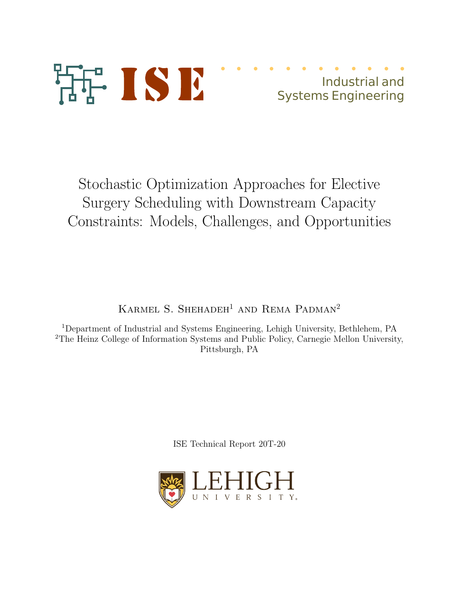

Industrial and Systems Engineering

Stochastic Optimization Approaches for Elective Surgery Scheduling with Downstream Capacity Constraints: Models, Challenges, and Opportunities

KARMEL S. SHEHADEH<sup>1</sup> AND REMA PADMAN<sup>2</sup>

<sup>1</sup>Department of Industrial and Systems Engineering, Lehigh University, Bethlehem, PA <sup>2</sup>The Heinz College of Information Systems and Public Policy, Carnegie Mellon University, Pittsburgh, PA

ISE Technical Report 20T-20

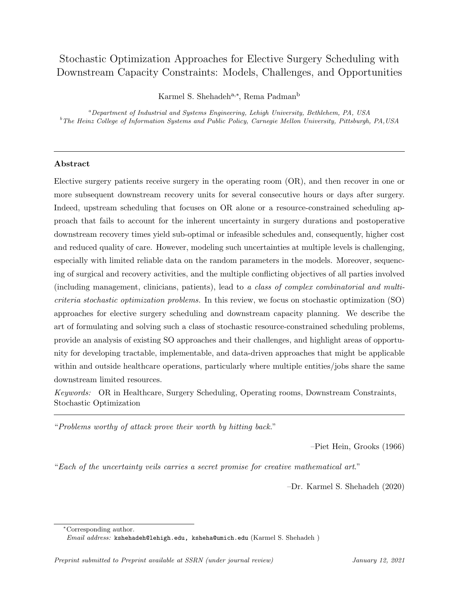# Stochastic Optimization Approaches for Elective Surgery Scheduling with Downstream Capacity Constraints: Models, Challenges, and Opportunities

Karmel S. Shehadeh<sup>a,∗</sup>, Rema Padman<sup>b</sup>

 $a$ Department of Industrial and Systems Engineering, Lehigh University, Bethlehem, PA, USA <sup>b</sup>The Heinz College of Information Systems and Public Policy, Carnegie Mellon University, Pittsburgh, PA,USA

## Abstract

Elective surgery patients receive surgery in the operating room (OR), and then recover in one or more subsequent downstream recovery units for several consecutive hours or days after surgery. Indeed, upstream scheduling that focuses on OR alone or a resource-constrained scheduling approach that fails to account for the inherent uncertainty in surgery durations and postoperative downstream recovery times yield sub-optimal or infeasible schedules and, consequently, higher cost and reduced quality of care. However, modeling such uncertainties at multiple levels is challenging, especially with limited reliable data on the random parameters in the models. Moreover, sequencing of surgical and recovery activities, and the multiple conflicting objectives of all parties involved (including management, clinicians, patients), lead to a class of complex combinatorial and multicriteria stochastic optimization problems. In this review, we focus on stochastic optimization (SO) approaches for elective surgery scheduling and downstream capacity planning. We describe the art of formulating and solving such a class of stochastic resource-constrained scheduling problems, provide an analysis of existing SO approaches and their challenges, and highlight areas of opportunity for developing tractable, implementable, and data-driven approaches that might be applicable within and outside healthcare operations, particularly where multiple entities/jobs share the same downstream limited resources.

Keywords: OR in Healthcare, Surgery Scheduling, Operating rooms, Downstream Constraints, Stochastic Optimization

"Problems worthy of attack prove their worth by hitting back."

–Piet Hein, Grooks (1966)

"Each of the uncertainty veils carries a secret promise for creative mathematical art."

–Dr. Karmel S. Shehadeh (2020)

<sup>∗</sup>Corresponding author.

Email address: kshehadeh@lehigh.edu, ksheha@umich.edu (Karmel S. Shehadeh )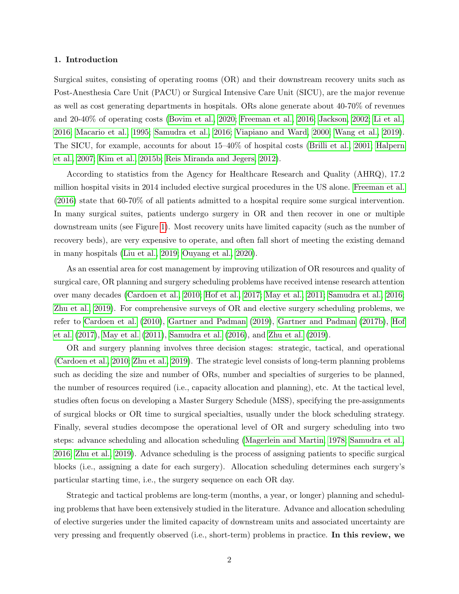#### 1. Introduction

Surgical suites, consisting of operating rooms (OR) and their downstream recovery units such as Post-Anesthesia Care Unit (PACU) or Surgical Intensive Care Unit (SICU), are the major revenue as well as cost generating departments in hospitals. ORs alone generate about 40-70% of revenues and 20-40% of operating costs [\(Bovim et al., 2020;](#page-39-0) [Freeman et al., 2016;](#page-41-0) [Jackson, 2002;](#page-43-0) [Li et al.,](#page-45-0) [2016;](#page-45-0) [Macario et al., 1995;](#page-45-1) [Samudra et al., 2016;](#page-47-0) [Viapiano and Ward, 2000;](#page-49-0) [Wang et al., 2019\)](#page-49-1). The SICU, for example, accounts for about 15–40% of hospital costs [\(Brilli et al., 2001;](#page-39-1) [Halpern](#page-42-0) [et al., 2007;](#page-42-0) [Kim et al., 2015b;](#page-44-0) [Reis Miranda and Jegers, 2012\)](#page-47-1).

According to statistics from the Agency for Healthcare Research and Quality (AHRQ), 17.2 million hospital visits in 2014 included elective surgical procedures in the US alone. [Freeman et al.](#page-41-0) [\(2016\)](#page-41-0) state that 60-70% of all patients admitted to a hospital require some surgical intervention. In many surgical suites, patients undergo surgery in OR and then recover in one or multiple downstream units (see Figure [1\)](#page-3-0). Most recovery units have limited capacity (such as the number of recovery beds), are very expensive to operate, and often fall short of meeting the existing demand in many hospitals [\(Liu et al., 2019;](#page-45-2) [Ouyang et al., 2020\)](#page-46-0).

As an essential area for cost management by improving utilization of OR resources and quality of surgical care, OR planning and surgery scheduling problems have received intense research attention over many decades [\(Cardoen et al., 2010;](#page-39-2) [Hof et al., 2017;](#page-42-1) [May et al., 2011;](#page-46-1) [Samudra et al., 2016;](#page-47-0) [Zhu et al., 2019\)](#page-50-0). For comprehensive surveys of OR and elective surgery scheduling problems, we refer to [Cardoen et al.](#page-39-2) [\(2010\)](#page-39-2), [Gartner and Padman](#page-42-2) [\(2019\)](#page-42-2), [Gartner and Padman](#page-41-1) [\(2017b\)](#page-41-1), [Hof](#page-42-1) [et al.](#page-42-1) [\(2017\)](#page-42-1), [May et al.](#page-46-1) [\(2011\)](#page-46-1), [Samudra et al.](#page-47-0) [\(2016\)](#page-47-0), and [Zhu et al.](#page-50-0) [\(2019\)](#page-50-0).

OR and surgery planning involves three decision stages: strategic, tactical, and operational [\(Cardoen et al., 2010;](#page-39-2) [Zhu et al., 2019\)](#page-50-0). The strategic level consists of long-term planning problems such as deciding the size and number of ORs, number and specialties of surgeries to be planned, the number of resources required (i.e., capacity allocation and planning), etc. At the tactical level, studies often focus on developing a Master Surgery Schedule (MSS), specifying the pre-assignments of surgical blocks or OR time to surgical specialties, usually under the block scheduling strategy. Finally, several studies decompose the operational level of OR and surgery scheduling into two steps: advance scheduling and allocation scheduling [\(Magerlein and Martin, 1978;](#page-45-3) [Samudra et al.,](#page-47-0) [2016;](#page-47-0) [Zhu et al., 2019\)](#page-50-0). Advance scheduling is the process of assigning patients to specific surgical blocks (i.e., assigning a date for each surgery). Allocation scheduling determines each surgery's particular starting time, i.e., the surgery sequence on each OR day.

Strategic and tactical problems are long-term (months, a year, or longer) planning and scheduling problems that have been extensively studied in the literature. Advance and allocation scheduling of elective surgeries under the limited capacity of downstream units and associated uncertainty are very pressing and frequently observed (i.e., short-term) problems in practice. In this review, we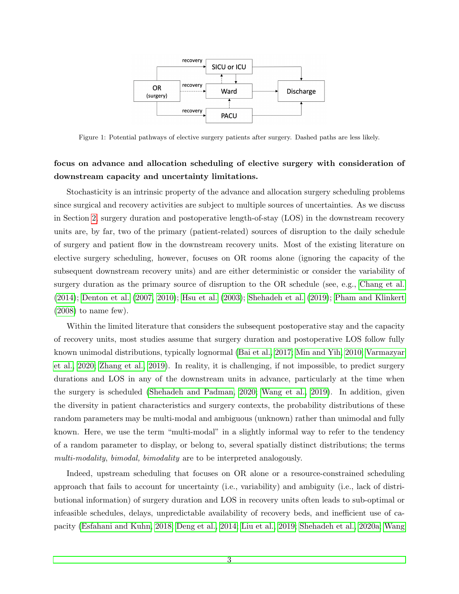<span id="page-3-0"></span>

Figure 1: Potential pathways of elective surgery patients after surgery. Dashed paths are less likely.

## focus on advance and allocation scheduling of elective surgery with consideration of downstream capacity and uncertainty limitations.

Stochasticity is an intrinsic property of the advance and allocation surgery scheduling problems since surgical and recovery activities are subject to multiple sources of uncertainties. As we discuss in Section [2,](#page-6-0) surgery duration and postoperative length-of-stay (LOS) in the downstream recovery units are, by far, two of the primary (patient-related) sources of disruption to the daily schedule of surgery and patient flow in the downstream recovery units. Most of the existing literature on elective surgery scheduling, however, focuses on OR rooms alone (ignoring the capacity of the subsequent downstream recovery units) and are either deterministic or consider the variability of surgery duration as the primary source of disruption to the OR schedule (see, e.g., [Chang et al.](#page-40-0) [\(2014\)](#page-40-0); [Denton et al.](#page-40-1) [\(2007,](#page-40-1) [2010\)](#page-40-2); [Hsu et al.](#page-43-1) [\(2003\)](#page-43-1); [Shehadeh et al.](#page-47-2) [\(2019\)](#page-47-2); [Pham and Klinkert](#page-47-3)  $(2008)$  to name few).

Within the limited literature that considers the subsequent postoperative stay and the capacity of recovery units, most studies assume that surgery duration and postoperative LOS follow fully known unimodal distributions, typically lognormal [\(Bai et al., 2017;](#page-38-0) [Min and Yih, 2010;](#page-46-2) [Varmazyar](#page-49-2) [et al., 2020;](#page-49-2) [Zhang et al., 2019\)](#page-50-1). In reality, it is challenging, if not impossible, to predict surgery durations and LOS in any of the downstream units in advance, particularly at the time when the surgery is scheduled [\(Shehadeh and Padman, 2020;](#page-48-0) [Wang et al., 2019\)](#page-49-1). In addition, given the diversity in patient characteristics and surgery contexts, the probability distributions of these random parameters may be multi-modal and ambiguous (unknown) rather than unimodal and fully known. Here, we use the term "multi-modal" in a slightly informal way to refer to the tendency of a random parameter to display, or belong to, several spatially distinct distributions; the terms multi-modality, bimodal, bimodality are to be interpreted analogously.

Indeed, upstream scheduling that focuses on OR alone or a resource-constrained scheduling approach that fails to account for uncertainty (i.e., variability) and ambiguity (i.e., lack of distributional information) of surgery duration and LOS in recovery units often leads to sub-optimal or infeasible schedules, delays, unpredictable availability of recovery beds, and inefficient use of capacity [\(Esfahani and Kuhn, 2018;](#page-41-2) [Deng et al., 2014;](#page-40-3) [Liu et al., 2019;](#page-45-2) [Shehadeh et al., 2020a;](#page-48-1) [Wang](#page-49-1)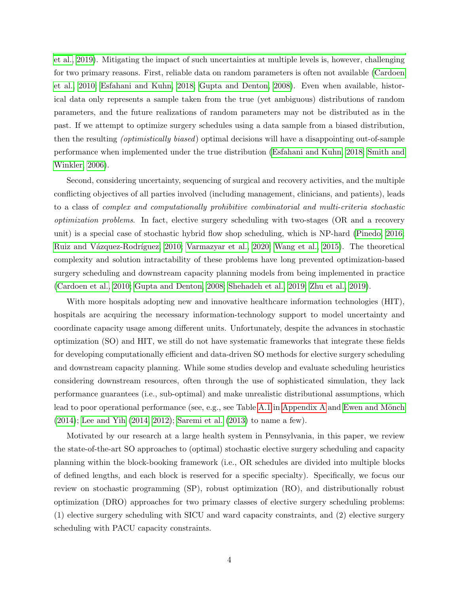[et al., 2019\)](#page-49-1). Mitigating the impact of such uncertainties at multiple levels is, however, challenging for two primary reasons. First, reliable data on random parameters is often not available [\(Cardoen](#page-39-2) [et al., 2010;](#page-39-2) [Esfahani and Kuhn, 2018;](#page-41-2) [Gupta and Denton, 2008\)](#page-42-3). Even when available, historical data only represents a sample taken from the true (yet ambiguous) distributions of random parameters, and the future realizations of random parameters may not be distributed as in the past. If we attempt to optimize surgery schedules using a data sample from a biased distribution, then the resulting (optimistically biased) optimal decisions will have a disappointing out-of-sample performance when implemented under the true distribution [\(Esfahani and Kuhn, 2018;](#page-41-2) [Smith and](#page-48-2) [Winkler, 2006\)](#page-48-2).

Second, considering uncertainty, sequencing of surgical and recovery activities, and the multiple conflicting objectives of all parties involved (including management, clinicians, and patients), leads to a class of complex and computationally prohibitive combinatorial and multi-criteria stochastic optimization problems. In fact, elective surgery scheduling with two-stages (OR and a recovery unit) is a special case of stochastic hybrid flow shop scheduling, which is NP-hard [\(Pinedo, 2016;](#page-47-4) Ruiz and Vázquez-Rodríguez, 2010; [Varmazyar et al., 2020;](#page-49-2) [Wang et al., 2015\)](#page-49-3). The theoretical complexity and solution intractability of these problems have long prevented optimization-based surgery scheduling and downstream capacity planning models from being implemented in practice [\(Cardoen et al., 2010;](#page-39-2) [Gupta and Denton, 2008;](#page-42-3) [Shehadeh et al., 2019;](#page-47-2) [Zhu et al., 2019\)](#page-50-0).

With more hospitals adopting new and innovative healthcare information technologies (HIT), hospitals are acquiring the necessary information-technology support to model uncertainty and coordinate capacity usage among different units. Unfortunately, despite the advances in stochastic optimization (SO) and HIT, we still do not have systematic frameworks that integrate these fields for developing computationally efficient and data-driven SO methods for elective surgery scheduling and downstream capacity planning. While some studies develop and evaluate scheduling heuristics considering downstream resources, often through the use of sophisticated simulation, they lack performance guarantees (i.e., sub-optimal) and make unrealistic distributional assumptions, which lead to poor operational performance (see, e.g., see Table [A.1](#page-51-0) in [Appendix A](#page-50-2) and Ewen and Mönch [\(2014\)](#page-41-3); [Lee and Yih](#page-45-4) [\(2014,](#page-45-4) [2012\)](#page-44-1); [Saremi et al.](#page-47-6) [\(2013\)](#page-47-6) to name a few).

Motivated by our research at a large health system in Pennsylvania, in this paper, we review the state-of-the-art SO approaches to (optimal) stochastic elective surgery scheduling and capacity planning within the block-booking framework (i.e., OR schedules are divided into multiple blocks of defined lengths, and each block is reserved for a specific specialty). Specifically, we focus our review on stochastic programming (SP), robust optimization (RO), and distributionally robust optimization (DRO) approaches for two primary classes of elective surgery scheduling problems: (1) elective surgery scheduling with SICU and ward capacity constraints, and (2) elective surgery scheduling with PACU capacity constraints.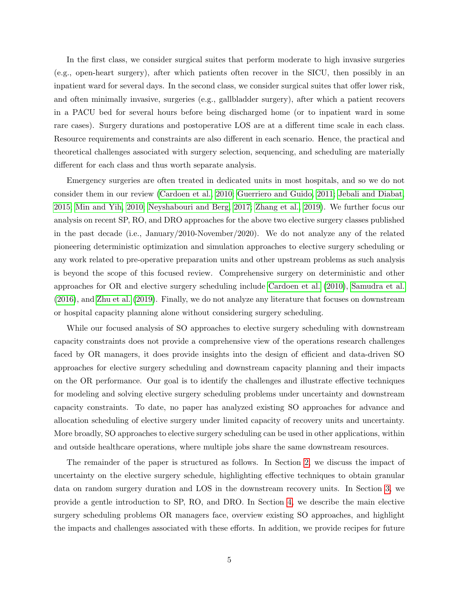In the first class, we consider surgical suites that perform moderate to high invasive surgeries (e.g., open-heart surgery), after which patients often recover in the SICU, then possibly in an inpatient ward for several days. In the second class, we consider surgical suites that offer lower risk, and often minimally invasive, surgeries (e.g., gallbladder surgery), after which a patient recovers in a PACU bed for several hours before being discharged home (or to inpatient ward in some rare cases). Surgery durations and postoperative LOS are at a different time scale in each class. Resource requirements and constraints are also different in each scenario. Hence, the practical and theoretical challenges associated with surgery selection, sequencing, and scheduling are materially different for each class and thus worth separate analysis.

Emergency surgeries are often treated in dedicated units in most hospitals, and so we do not consider them in our review [\(Cardoen et al., 2010;](#page-39-2) [Guerriero and Guido, 2011;](#page-42-4) [Jebali and Diabat,](#page-43-2) [2015;](#page-43-2) [Min and Yih, 2010;](#page-46-2) [Neyshabouri and Berg, 2017;](#page-46-3) [Zhang et al., 2019\)](#page-50-1). We further focus our analysis on recent SP, RO, and DRO approaches for the above two elective surgery classes published in the past decade (i.e., January/2010-November/2020). We do not analyze any of the related pioneering deterministic optimization and simulation approaches to elective surgery scheduling or any work related to pre-operative preparation units and other upstream problems as such analysis is beyond the scope of this focused review. Comprehensive surgery on deterministic and other approaches for OR and elective surgery scheduling include [Cardoen et al.](#page-39-2) [\(2010\)](#page-39-2), [Samudra et al.](#page-47-0) [\(2016\)](#page-47-0), and [Zhu et al.](#page-50-0) [\(2019\)](#page-50-0). Finally, we do not analyze any literature that focuses on downstream or hospital capacity planning alone without considering surgery scheduling.

While our focused analysis of SO approaches to elective surgery scheduling with downstream capacity constraints does not provide a comprehensive view of the operations research challenges faced by OR managers, it does provide insights into the design of efficient and data-driven SO approaches for elective surgery scheduling and downstream capacity planning and their impacts on the OR performance. Our goal is to identify the challenges and illustrate effective techniques for modeling and solving elective surgery scheduling problems under uncertainty and downstream capacity constraints. To date, no paper has analyzed existing SO approaches for advance and allocation scheduling of elective surgery under limited capacity of recovery units and uncertainty. More broadly, SO approaches to elective surgery scheduling can be used in other applications, within and outside healthcare operations, where multiple jobs share the same downstream resources.

The remainder of the paper is structured as follows. In Section [2,](#page-6-0) we discuss the impact of uncertainty on the elective surgery schedule, highlighting effective techniques to obtain granular data on random surgery duration and LOS in the downstream recovery units. In Section [3,](#page-10-0) we provide a gentle introduction to SP, RO, and DRO. In Section [4,](#page-13-0) we describe the main elective surgery scheduling problems OR managers face, overview existing SO approaches, and highlight the impacts and challenges associated with these efforts. In addition, we provide recipes for future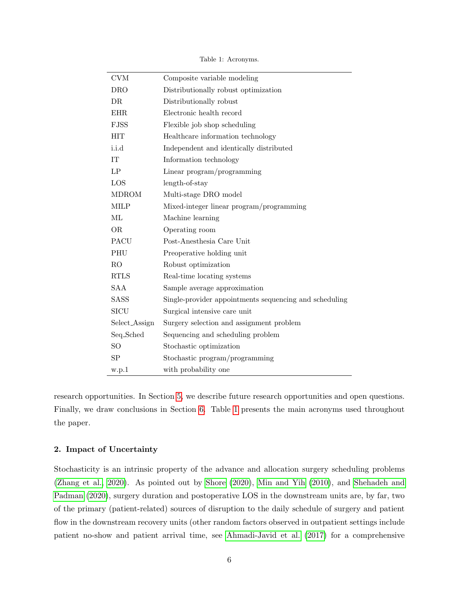<span id="page-6-1"></span>

| CVM           | Composite variable modeling                            |
|---------------|--------------------------------------------------------|
| <b>DRO</b>    | Distributionally robust optimization                   |
| DR            | Distributionally robust                                |
| EHR.          | Electronic health record                               |
| <b>FJSS</b>   | Flexible job shop scheduling                           |
| $\rm HIT$     | Healthcare information technology                      |
| i.i.d         | Independent and identically distributed                |
| IT            | Information technology                                 |
| LP            | Linear program/programming                             |
| LOS           | length-of-stay                                         |
| <b>MDROM</b>  | Multi-stage DRO model                                  |
| MILP          | Mixed-integer linear program/programming               |
| ML            | Machine learning                                       |
| <b>OR</b>     | Operating room                                         |
| <b>PACU</b>   | Post-Anesthesia Care Unit                              |
| PHU           | Preoperative holding unit                              |
| $\rm{RO}$     | Robust optimization                                    |
| <b>RTLS</b>   | Real-time locating systems                             |
| <b>SAA</b>    | Sample average approximation                           |
| SASS          | Single-provider appointments sequencing and scheduling |
| <b>SICU</b>   | Surgical intensive care unit                           |
| Select_Assign | Surgery selection and assignment problem               |
| Seq_Sched     | Sequencing and scheduling problem                      |
| <sub>SO</sub> | Stochastic optimization                                |
| SΡ            | Stochastic program/programming                         |
| w.p.1         | with probability one                                   |

Table 1: Acronyms.

research opportunities. In Section [5,](#page-29-0) we describe future research opportunities and open questions. Finally, we draw conclusions in Section [6.](#page-36-0) Table [1](#page-6-1) presents the main acronyms used throughout the paper.

## <span id="page-6-0"></span>2. Impact of Uncertainty

L,

Stochasticity is an intrinsic property of the advance and allocation surgery scheduling problems [\(Zhang et al., 2020\)](#page-50-3). As pointed out by [Shore](#page-48-3) [\(2020\)](#page-48-3), [Min and Yih](#page-46-2) [\(2010\)](#page-46-2), and [Shehadeh and](#page-48-0) [Padman](#page-48-0) [\(2020\)](#page-48-0), surgery duration and postoperative LOS in the downstream units are, by far, two of the primary (patient-related) sources of disruption to the daily schedule of surgery and patient flow in the downstream recovery units (other random factors observed in outpatient settings include patient no-show and patient arrival time, see [Ahmadi-Javid et al.](#page-38-1) [\(2017\)](#page-38-1) for a comprehensive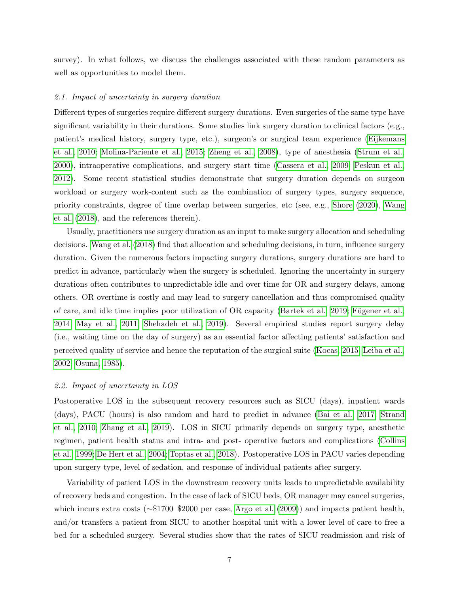survey). In what follows, we discuss the challenges associated with these random parameters as well as opportunities to model them.

#### 2.1. Impact of uncertainty in surgery duration

Different types of surgeries require different surgery durations. Even surgeries of the same type have significant variability in their durations. Some studies link surgery duration to clinical factors (e.g., patient's medical history, surgery type, etc.), surgeon's or surgical team experience [\(Eijkemans](#page-41-4) [et al., 2010;](#page-41-4) [Molina-Pariente et al., 2015;](#page-46-4) [Zheng et al., 2008\)](#page-50-4), type of anesthesia [\(Strum et al.,](#page-48-4) [2000\)](#page-48-4), intraoperative complications, and surgery start time [\(Cassera et al., 2009;](#page-40-4) [Peskun et al.,](#page-47-7) [2012\)](#page-47-7). Some recent statistical studies demonstrate that surgery duration depends on surgeon workload or surgery work-content such as the combination of surgery types, surgery sequence, priority constraints, degree of time overlap between surgeries, etc (see, e.g., [Shore](#page-48-3) [\(2020\)](#page-48-3), [Wang](#page-49-4) [et al.](#page-49-4) [\(2018\)](#page-49-4), and the references therein).

Usually, practitioners use surgery duration as an input to make surgery allocation and scheduling decisions. [Wang et al.](#page-49-4) [\(2018\)](#page-49-4) find that allocation and scheduling decisions, in turn, influence surgery duration. Given the numerous factors impacting surgery durations, surgery durations are hard to predict in advance, particularly when the surgery is scheduled. Ignoring the uncertainty in surgery durations often contributes to unpredictable idle and over time for OR and surgery delays, among others. OR overtime is costly and may lead to surgery cancellation and thus compromised quality of care, and idle time implies poor utilization of OR capacity [\(Bartek et al., 2019;](#page-38-2) Fügener et al., [2014;](#page-41-5) [May et al., 2011;](#page-46-1) [Shehadeh et al., 2019\)](#page-47-2). Several empirical studies report surgery delay (i.e., waiting time on the day of surgery) as an essential factor affecting patients' satisfaction and perceived quality of service and hence the reputation of the surgical suite [\(Kocas, 2015;](#page-44-2) [Leiba et al.,](#page-45-5) [2002;](#page-45-5) [Osuna, 1985\)](#page-46-5).

#### 2.2. Impact of uncertainty in LOS

Postoperative LOS in the subsequent recovery resources such as SICU (days), inpatient wards (days), PACU (hours) is also random and hard to predict in advance [\(Bai et al., 2017;](#page-38-0) [Strand](#page-48-5) [et al., 2010;](#page-48-5) [Zhang et al., 2019\)](#page-50-1). LOS in SICU primarily depends on surgery type, anesthetic regimen, patient health status and intra- and post- operative factors and complications [\(Collins](#page-40-5) [et al., 1999;](#page-40-5) [De Hert et al., 2004;](#page-40-6) [Toptas et al., 2018\)](#page-48-6). Postoperative LOS in PACU varies depending upon surgery type, level of sedation, and response of individual patients after surgery.

Variability of patient LOS in the downstream recovery units leads to unpredictable availability of recovery beds and congestion. In the case of lack of SICU beds, OR manager may cancel surgeries, which incurs extra costs (∼\$1700–\$2000 per case, [Argo et al.](#page-38-3) [\(2009\)](#page-38-3)) and impacts patient health, and/or transfers a patient from SICU to another hospital unit with a lower level of care to free a bed for a scheduled surgery. Several studies show that the rates of SICU readmission and risk of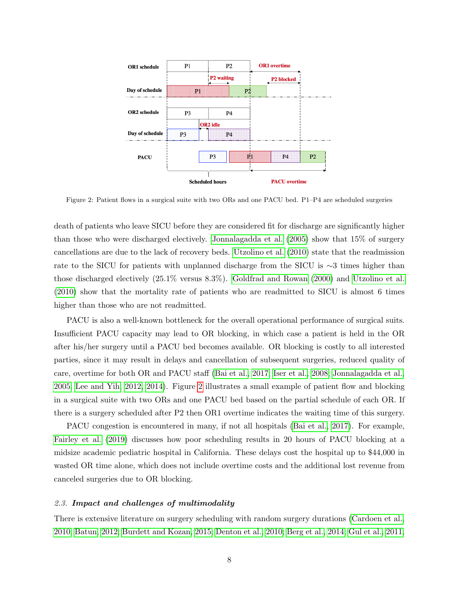<span id="page-8-0"></span>

Figure 2: Patient flows in a surgical suite with two ORs and one PACU bed. P1–P4 are scheduled surgeries

death of patients who leave SICU before they are considered fit for discharge are significantly higher than those who were discharged electively. [Jonnalagadda et al.](#page-43-3) [\(2005\)](#page-43-3) show that 15% of surgery cancellations are due to the lack of recovery beds. [Utzolino et al.](#page-49-5) [\(2010\)](#page-49-5) state that the readmission rate to the SICU for patients with unplanned discharge from the SICU is ∼3 times higher than those discharged electively (25.1% versus 8.3%). [Goldfrad and Rowan](#page-42-5) [\(2000\)](#page-42-5) and [Utzolino et al.](#page-49-5) [\(2010\)](#page-49-5) show that the mortality rate of patients who are readmitted to SICU is almost 6 times higher than those who are not readmitted.

PACU is also a well-known bottleneck for the overall operational performance of surgical suits. Insufficient PACU capacity may lead to OR blocking, in which case a patient is held in the OR after his/her surgery until a PACU bed becomes available. OR blocking is costly to all interested parties, since it may result in delays and cancellation of subsequent surgeries, reduced quality of care, overtime for both OR and PACU staff [\(Bai et al., 2017;](#page-38-0) [Iser et al., 2008;](#page-43-4) [Jonnalagadda et al.,](#page-43-3) [2005;](#page-43-3) [Lee and Yih, 2012,](#page-44-1) [2014\)](#page-45-4). Figure [2](#page-8-0) illustrates a small example of patient flow and blocking in a surgical suite with two ORs and one PACU bed based on the partial schedule of each OR. If there is a surgery scheduled after P2 then OR1 overtime indicates the waiting time of this surgery.

PACU congestion is encountered in many, if not all hospitals [\(Bai et al., 2017\)](#page-38-0). For example, [Fairley et al.](#page-41-6) [\(2019\)](#page-41-6) discusses how poor scheduling results in 20 hours of PACU blocking at a midsize academic pediatric hospital in California. These delays cost the hospital up to \$44,000 in wasted OR time alone, which does not include overtime costs and the additional lost revenue from canceled surgeries due to OR blocking.

#### 2.3. Impact and challenges of multimodality

There is extensive literature on surgery scheduling with random surgery durations [\(Cardoen et al.,](#page-39-2) [2010;](#page-39-2) [Batun, 2012;](#page-38-4) [Burdett and Kozan, 2015;](#page-39-3) [Denton et al., 2010;](#page-40-2) [Berg et al., 2014;](#page-38-5) [Gul et al., 2011,](#page-42-6)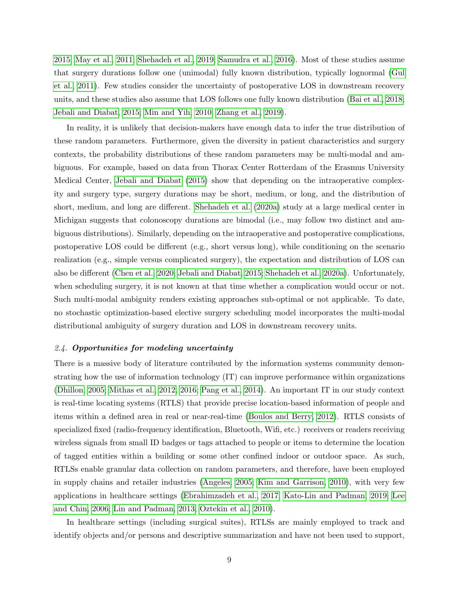[2015;](#page-42-7) [May et al., 2011;](#page-46-1) [Shehadeh et al., 2019;](#page-47-2) [Samudra et al., 2016\)](#page-47-0). Most of these studies assume that surgery durations follow one (unimodal) fully known distribution, typically lognormal [\(Gul](#page-42-6) [et al., 2011\)](#page-42-6). Few studies consider the uncertainty of postoperative LOS in downstream recovery units, and these studies also assume that LOS follows one fully known distribution [\(Bai et al., 2018;](#page-38-6) [Jebali and Diabat, 2015;](#page-43-2) [Min and Yih, 2010;](#page-46-2) [Zhang et al., 2019\)](#page-50-1).

In reality, it is unlikely that decision-makers have enough data to infer the true distribution of these random parameters. Furthermore, given the diversity in patient characteristics and surgery contexts, the probability distributions of these random parameters may be multi-modal and ambiguous. For example, based on data from Thorax Center Rotterdam of the Erasmus University Medical Center, [Jebali and Diabat](#page-43-2) [\(2015\)](#page-43-2) show that depending on the intraoperative complexity and surgery type, surgery durations may be short, medium, or long, and the distribution of short, medium, and long are different. [Shehadeh et al.](#page-48-1) [\(2020a\)](#page-48-1) study at a large medical center in Michigan suggests that colonoscopy durations are bimodal (i.e., may follow two distinct and ambiguous distributions). Similarly, depending on the intraoperative and postoperative complications, postoperative LOS could be different (e.g., short versus long), while conditioning on the scenario realization (e.g., simple versus complicated surgery), the expectation and distribution of LOS can also be different [\(Chen et al., 2020;](#page-40-7) [Jebali and Diabat, 2015;](#page-43-2) [Shehadeh et al., 2020a\)](#page-48-1). Unfortunately, when scheduling surgery, it is not known at that time whether a complication would occur or not. Such multi-modal ambiguity renders existing approaches sub-optimal or not applicable. To date, no stochastic optimization-based elective surgery scheduling model incorporates the multi-modal distributional ambiguity of surgery duration and LOS in downstream recovery units.

#### 2.4. Opportunities for modeling uncertainty

There is a massive body of literature contributed by the information systems community demonstrating how the use of information technology (IT) can improve performance within organizations [\(Dhillon, 2005;](#page-40-8) [Mithas et al., 2012,](#page-46-6) [2016;](#page-46-7) [Pang et al., 2014\)](#page-46-8). An important IT in our study context is real-time locating systems (RTLS) that provide precise location-based information of people and items within a defined area in real or near-real-time [\(Boulos and Berry, 2012\)](#page-39-4). RTLS consists of specialized fixed (radio-frequency identification, Bluetooth, Wifi, etc.) receivers or readers receiving wireless signals from small ID badges or tags attached to people or items to determine the location of tagged entities within a building or some other confined indoor or outdoor space. As such, RTLSs enable granular data collection on random parameters, and therefore, have been employed in supply chains and retailer industries [\(Angeles, 2005;](#page-38-7) [Kim and Garrison, 2010\)](#page-44-3), with very few applications in healthcare settings [\(Ebrahimzadeh et al., 2017;](#page-41-7) [Kato-Lin and Padman, 2019;](#page-44-4) [Lee](#page-44-5) [and Chin, 2006;](#page-44-5) [Lin and Padman, 2013;](#page-45-6) [Oztekin et al., 2010\)](#page-46-9).

In healthcare settings (including surgical suites), RTLSs are mainly employed to track and identify objects and/or persons and descriptive summarization and have not been used to support,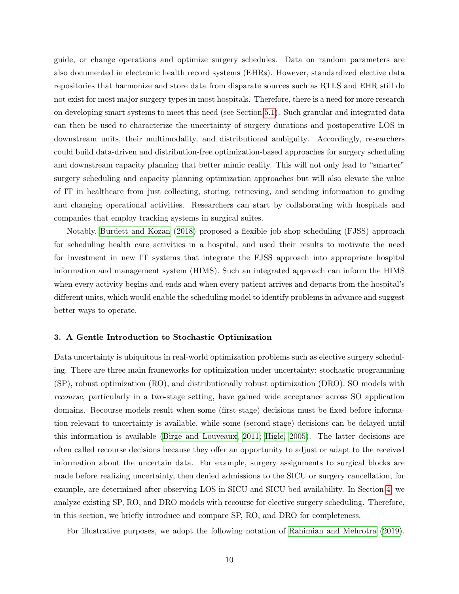guide, or change operations and optimize surgery schedules. Data on random parameters are also documented in electronic health record systems (EHRs). However, standardized elective data repositories that harmonize and store data from disparate sources such as RTLS and EHR still do not exist for most major surgery types in most hospitals. Therefore, there is a need for more research on developing smart systems to meet this need (see Section [5.1\)](#page-29-1). Such granular and integrated data can then be used to characterize the uncertainty of surgery durations and postoperative LOS in downstream units, their multimodality, and distributional ambiguity. Accordingly, researchers could build data-driven and distribution-free optimization-based approaches for surgery scheduling and downstream capacity planning that better mimic reality. This will not only lead to "smarter" surgery scheduling and capacity planning optimization approaches but will also elevate the value of IT in healthcare from just collecting, storing, retrieving, and sending information to guiding and changing operational activities. Researchers can start by collaborating with hospitals and companies that employ tracking systems in surgical suites.

Notably, [Burdett and Kozan](#page-39-5) [\(2018\)](#page-39-5) proposed a flexible job shop scheduling (FJSS) approach for scheduling health care activities in a hospital, and used their results to motivate the need for investment in new IT systems that integrate the FJSS approach into appropriate hospital information and management system (HIMS). Such an integrated approach can inform the HIMS when every activity begins and ends and when every patient arrives and departs from the hospital's different units, which would enable the scheduling model to identify problems in advance and suggest better ways to operate.

#### <span id="page-10-0"></span>3. A Gentle Introduction to Stochastic Optimization

Data uncertainty is ubiquitous in real-world optimization problems such as elective surgery scheduling. There are three main frameworks for optimization under uncertainty; stochastic programming (SP), robust optimization (RO), and distributionally robust optimization (DRO). SO models with recourse, particularly in a two-stage setting, have gained wide acceptance across SO application domains. Recourse models result when some (first-stage) decisions must be fixed before information relevant to uncertainty is available, while some (second-stage) decisions can be delayed until this information is available [\(Birge and Louveaux, 2011;](#page-39-6) [Higle, 2005\)](#page-42-8). The latter decisions are often called recourse decisions because they offer an opportunity to adjust or adapt to the received information about the uncertain data. For example, surgery assignments to surgical blocks are made before realizing uncertainty, then denied admissions to the SICU or surgery cancellation, for example, are determined after observing LOS in SICU and SICU bed availability. In Section [4,](#page-13-0) we analyze existing SP, RO, and DRO models with recourse for elective surgery scheduling. Therefore, in this section, we briefly introduce and compare SP, RO, and DRO for completeness.

For illustrative purposes, we adopt the following notation of [Rahimian and Mehrotra](#page-47-8) [\(2019\)](#page-47-8).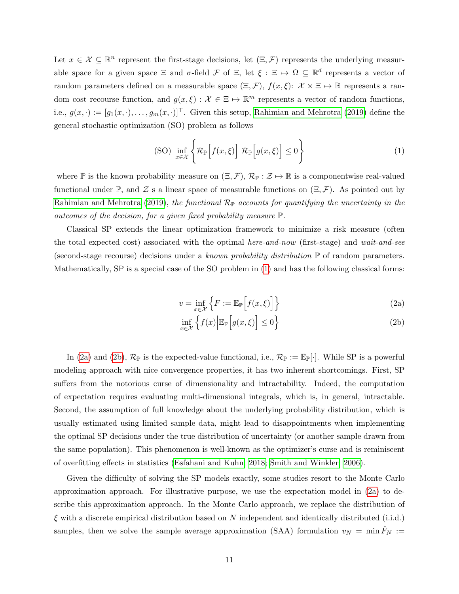Let  $x \in \mathcal{X} \subseteq \mathbb{R}^n$  represent the first-stage decisions, let  $(\Xi, \mathcal{F})$  represents the underlying measurable space for a given space  $\Xi$  and  $\sigma$ -field  $\mathcal F$  of  $\Xi$ , let  $\xi : \Xi \mapsto \Omega \subseteq \mathbb R^d$  represents a vector of random parameters defined on a measurable space  $(\Xi, \mathcal{F})$ ,  $f(x, \xi)$ :  $\mathcal{X} \times \Xi \mapsto \mathbb{R}$  represents a random cost recourse function, and  $g(x,\xi) : \mathcal{X} \in \Xi \mapsto \mathbb{R}^m$  represents a vector of random functions, i.e.,  $g(x, \cdot) := [g_1(x, \cdot), \ldots, g_m(x, \cdot)]^\top$ . Given this setup, [Rahimian and Mehrotra](#page-47-8) [\(2019\)](#page-47-8) define the general stochastic optimization (SO) problem as follows

<span id="page-11-0"></span>(SO) 
$$
\inf_{x \in \mathcal{X}} \left\{ \mathcal{R}_{\mathbb{P}} \left[ f(x,\xi) \right] \middle| \mathcal{R}_{\mathbb{P}} \left[ g(x,\xi) \right] \le 0 \right\}
$$
 (1)

where  $\mathbb P$  is the known probability measure on  $(\Xi, \mathcal{F}), \mathcal{R}_{\mathbb P} : \mathcal{Z} \mapsto \mathbb{R}$  is a componentwise real-valued functional under  $\mathbb{P}$ , and  $\mathcal{Z}$  s a linear space of measurable functions on  $(\Xi, \mathcal{F})$ . As pointed out by [Rahimian and Mehrotra](#page-47-8) [\(2019\)](#page-47-8), the functional  $\mathcal{R}_{\mathbb{P}}$  accounts for quantifying the uncertainty in the outcomes of the decision, for a given fixed probability measure P.

Classical SP extends the linear optimization framework to minimize a risk measure (often the total expected cost) associated with the optimal here-and-now (first-stage) and wait-and-see (second-stage recourse) decisions under a known probability distribution  $\mathbb P$  of random parameters. Mathematically, SP is a special case of the SO problem in [\(1\)](#page-11-0) and has the following classical forms:

$$
v = \inf_{x \in \mathcal{X}} \left\{ F := \mathbb{E}_{\mathbb{P}} \left[ f(x, \xi) \right] \right\} \tag{2a}
$$

<span id="page-11-2"></span><span id="page-11-1"></span>
$$
\inf_{x \in \mathcal{X}} \left\{ f(x) \middle| \mathbb{E}_{\mathbb{P}} \left[ g(x, \xi) \right] \le 0 \right\} \tag{2b}
$$

In [\(2a\)](#page-11-1) and [\(2b\)](#page-11-2),  $\mathcal{R}_{\mathbb{P}}$  is the expected-value functional, i.e.,  $\mathcal{R}_{\mathbb{P}} := \mathbb{E}_{\mathbb{P}}[\cdot]$ . While SP is a powerful modeling approach with nice convergence properties, it has two inherent shortcomings. First, SP suffers from the notorious curse of dimensionality and intractability. Indeed, the computation of expectation requires evaluating multi-dimensional integrals, which is, in general, intractable. Second, the assumption of full knowledge about the underlying probability distribution, which is usually estimated using limited sample data, might lead to disappointments when implementing the optimal SP decisions under the true distribution of uncertainty (or another sample drawn from the same population). This phenomenon is well-known as the optimizer's curse and is reminiscent of overfitting effects in statistics [\(Esfahani and Kuhn, 2018;](#page-41-2) [Smith and Winkler, 2006\)](#page-48-2).

Given the difficulty of solving the SP models exactly, some studies resort to the Monte Carlo approximation approach. For illustrative purpose, we use the expectation model in [\(2a\)](#page-11-1) to describe this approximation approach. In the Monte Carlo approach, we replace the distribution of  $\xi$  with a discrete empirical distribution based on N independent and identically distributed (i.i.d.) samples, then we solve the sample average approximation (SAA) formulation  $v_N = \min F_N :=$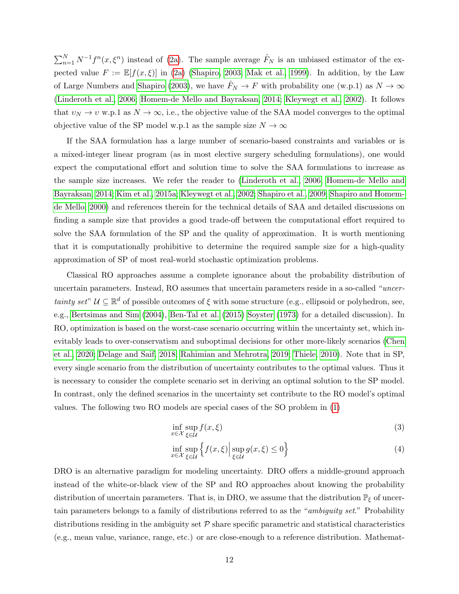$\sum_{n=1}^{N} N^{-1} f^{n}(x, \xi^{n})$  instead of [\(2a\)](#page-11-1). The sample average  $\hat{F}_{N}$  is an unbiased estimator of the expected value  $F := \mathbb{E}[f(x,\xi)]$  in [\(2a\)](#page-11-1) [\(Shapiro, 2003;](#page-47-9) [Mak et al., 1999\)](#page-45-7). In addition, by the Law of Large Numbers and [Shapiro](#page-47-9) [\(2003\)](#page-47-9), we have  $\hat{F}_N \to F$  with probability one (w.p.1) as  $N \to \infty$ [\(Linderoth et al., 2006;](#page-45-8) [Homem-de Mello and Bayraksan, 2014;](#page-43-5) [Kleywegt et al., 2002\)](#page-44-6). It follows that  $v_N \to v$  w.p.1 as  $N \to \infty$ , i.e., the objective value of the SAA model converges to the optimal objective value of the SP model w.p.1 as the sample size  $N \to \infty$ 

If the SAA formulation has a large number of scenario-based constraints and variables or is a mixed-integer linear program (as in most elective surgery scheduling formulations), one would expect the computational effort and solution time to solve the SAA formulations to increase as the sample size increases. We refer the reader to [\(Linderoth et al., 2006;](#page-45-8) [Homem-de Mello and](#page-43-5) [Bayraksan, 2014;](#page-43-5) [Kim et al., 2015a;](#page-44-7) [Kleywegt et al., 2002;](#page-44-6) [Shapiro et al., 2009;](#page-47-10) [Shapiro and Homem](#page-47-11)[de Mello, 2000\)](#page-47-11) and references therein for the technical details of SAA and detailed discussions on finding a sample size that provides a good trade-off between the computational effort required to solve the SAA formulation of the SP and the quality of approximation. It is worth mentioning that it is computationally prohibitive to determine the required sample size for a high-quality approximation of SP of most real-world stochastic optimization problems.

Classical RO approaches assume a complete ignorance about the probability distribution of uncertain parameters. Instead, RO assumes that uncertain parameters reside in a so-called "uncertainty set"  $\mathcal{U} \subseteq \mathbb{R}^d$  of possible outcomes of  $\xi$  with some structure (e.g., ellipsoid or polyhedron, see, e.g., [Bertsimas and Sim](#page-39-7) [\(2004\)](#page-39-7), [Ben-Tal et al.](#page-38-8) [\(2015\)](#page-38-8) [Soyster](#page-48-7) [\(1973\)](#page-48-7) for a detailed discussion). In RO, optimization is based on the worst-case scenario occurring within the uncertainty set, which inevitably leads to over-conservatism and suboptimal decisions for other more-likely scenarios [\(Chen](#page-40-7) [et al., 2020;](#page-40-7) [Delage and Saif, 2018;](#page-40-9) [Rahimian and Mehrotra, 2019;](#page-47-8) [Thiele, 2010\)](#page-48-8). Note that in SP, every single scenario from the distribution of uncertainty contributes to the optimal values. Thus it is necessary to consider the complete scenario set in deriving an optimal solution to the SP model. In contrast, only the defined scenarios in the uncertainty set contribute to the RO model's optimal values. The following two RO models are special cases of the SO problem in [\(1\)](#page-11-0)

$$
\inf_{x \in \mathcal{X}} \sup_{\xi \in \mathcal{U}} f(x, \xi) \tag{3}
$$

$$
\inf_{x \in \mathcal{X}} \sup_{\xi \in \mathcal{U}} \left\{ f(x,\xi) \Big| \sup_{\xi \in \mathcal{U}} g(x,\xi) \le 0 \right\} \tag{4}
$$

DRO is an alternative paradigm for modeling uncertainty. DRO offers a middle-ground approach instead of the white-or-black view of the SP and RO approaches about knowing the probability distribution of uncertain parameters. That is, in DRO, we assume that the distribution  $\mathbb{P}_{\xi}$  of uncertain parameters belongs to a family of distributions referred to as the "ambiguity set." Probability distributions residing in the ambiguity set  $P$  share specific parametric and statistical characteristics (e.g., mean value, variance, range, etc.) or are close-enough to a reference distribution. Mathemat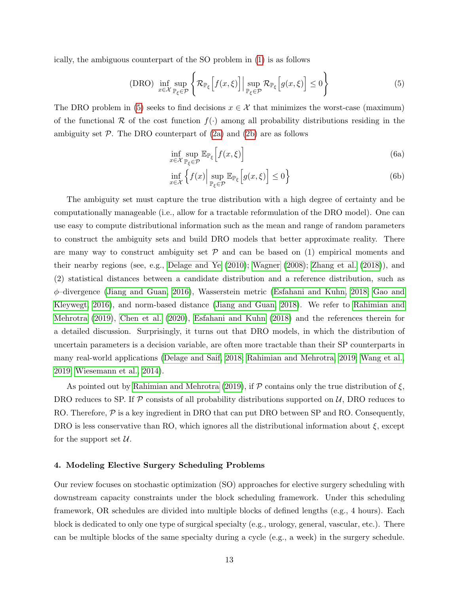ically, the ambiguous counterpart of the SO problem in [\(1\)](#page-11-0) is as follows

(DRO) 
$$
\inf_{x \in \mathcal{X}} \sup_{\mathbb{P}_{\xi} \in \mathcal{P}} \left\{ \mathcal{R}_{\mathbb{P}_{\xi}} \left[ f(x, \xi) \right] \Big| \sup_{\mathbb{P}_{\xi} \in \mathcal{P}} \mathcal{R}_{\mathbb{P}_{\xi}} \left[ g(x, \xi) \right] \le 0 \right\}
$$
 (5)

The DRO problem in [\(5\)](#page-13-1) seeks to find decisions  $x \in \mathcal{X}$  that minimizes the worst-case (maximum) of the functional R of the cost function  $f(.)$  among all probability distributions residing in the ambiguity set  $P$ . The DRO counterpart of  $(2a)$  and  $(2b)$  are as follows

<span id="page-13-1"></span>
$$
\inf_{x \in \mathcal{X}} \sup_{\mathbb{P}_{\xi} \in \mathcal{P}} \mathbb{E}_{\mathbb{P}_{\xi}} \left[ f(x, \xi) \right] \tag{6a}
$$

$$
\inf_{x \in \mathcal{X}} \left\{ f(x) \Big| \sup_{\mathbb{P}_{\xi} \in \mathcal{P}} \mathbb{E}_{\mathbb{P}_{\xi}} \left[ g(x, \xi) \right] \le 0 \right\} \tag{6b}
$$

The ambiguity set must capture the true distribution with a high degree of certainty and be computationally manageable (i.e., allow for a tractable reformulation of the DRO model). One can use easy to compute distributional information such as the mean and range of random parameters to construct the ambiguity sets and build DRO models that better approximate reality. There are many way to construct ambiguity set  $P$  and can be based on (1) empirical moments and their nearby regions (see, e.g., [Delage and Ye](#page-40-10) [\(2010\)](#page-40-10); [Wagner](#page-49-6) [\(2008\)](#page-49-6); [Zhang et al.](#page-50-5) [\(2018\)](#page-50-5)), and (2) statistical distances between a candidate distribution and a reference distribution, such as φ–divergence [\(Jiang and Guan, 2016\)](#page-43-6), Wasserstein metric [\(Esfahani and Kuhn, 2018;](#page-41-2) [Gao and](#page-41-8) [Kleywegt, 2016\)](#page-41-8), and norm-based distance [\(Jiang and Guan, 2018\)](#page-43-7). We refer to [Rahimian and](#page-47-8) [Mehrotra](#page-47-8) [\(2019\)](#page-47-8), [Chen et al.](#page-40-7) [\(2020\)](#page-40-7), [Esfahani and Kuhn](#page-41-2) [\(2018\)](#page-41-2) and the references therein for a detailed discussion. Surprisingly, it turns out that DRO models, in which the distribution of uncertain parameters is a decision variable, are often more tractable than their SP counterparts in many real-world applications [\(Delage and Saif, 2018;](#page-40-9) [Rahimian and Mehrotra, 2019;](#page-47-8) [Wang et al.,](#page-49-1) [2019;](#page-49-1) [Wiesemann et al., 2014\)](#page-49-7).

As pointed out by [Rahimian and Mehrotra](#page-47-8) [\(2019\)](#page-47-8), if  $P$  contains only the true distribution of  $\xi$ , DRO reduces to SP. If  $\mathcal P$  consists of all probability distributions supported on  $\mathcal U$ , DRO reduces to RO. Therefore,  $\mathcal P$  is a key ingredient in DRO that can put DRO between SP and RO. Consequently, DRO is less conservative than RO, which ignores all the distributional information about  $\xi$ , except for the support set  $\mathcal{U}$ .

## <span id="page-13-0"></span>4. Modeling Elective Surgery Scheduling Problems

Our review focuses on stochastic optimization (SO) approaches for elective surgery scheduling with downstream capacity constraints under the block scheduling framework. Under this scheduling framework, OR schedules are divided into multiple blocks of defined lengths (e.g., 4 hours). Each block is dedicated to only one type of surgical specialty (e.g., urology, general, vascular, etc.). There can be multiple blocks of the same specialty during a cycle (e.g., a week) in the surgery schedule.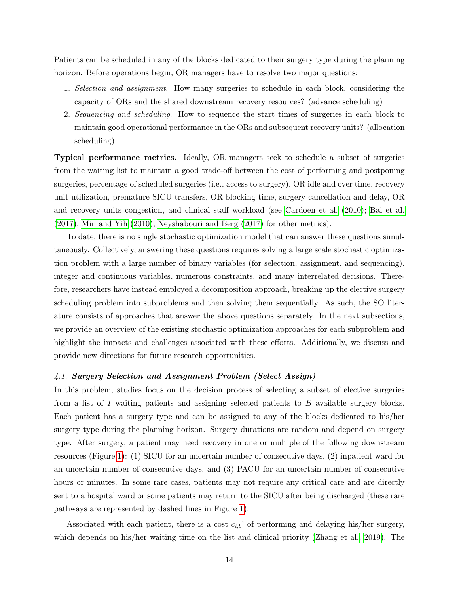Patients can be scheduled in any of the blocks dedicated to their surgery type during the planning horizon. Before operations begin, OR managers have to resolve two major questions:

- 1. Selection and assignment. How many surgeries to schedule in each block, considering the capacity of ORs and the shared downstream recovery resources? (advance scheduling)
- 2. Sequencing and scheduling. How to sequence the start times of surgeries in each block to maintain good operational performance in the ORs and subsequent recovery units? (allocation scheduling)

Typical performance metrics. Ideally, OR managers seek to schedule a subset of surgeries from the waiting list to maintain a good trade-off between the cost of performing and postponing surgeries, percentage of scheduled surgeries (i.e., access to surgery), OR idle and over time, recovery unit utilization, premature SICU transfers, OR blocking time, surgery cancellation and delay, OR and recovery units congestion, and clinical staff workload (see [Cardoen et al.](#page-39-2) [\(2010\)](#page-39-2); [Bai et al.](#page-38-0) [\(2017\)](#page-38-0); [Min and Yih](#page-46-2) [\(2010\)](#page-46-2); [Neyshabouri and Berg](#page-46-3) [\(2017\)](#page-46-3) for other metrics).

To date, there is no single stochastic optimization model that can answer these questions simultaneously. Collectively, answering these questions requires solving a large scale stochastic optimization problem with a large number of binary variables (for selection, assignment, and sequencing), integer and continuous variables, numerous constraints, and many interrelated decisions. Therefore, researchers have instead employed a decomposition approach, breaking up the elective surgery scheduling problem into subproblems and then solving them sequentially. As such, the SO literature consists of approaches that answer the above questions separately. In the next subsections, we provide an overview of the existing stochastic optimization approaches for each subproblem and highlight the impacts and challenges associated with these efforts. Additionally, we discuss and provide new directions for future research opportunities.

#### 4.1. Surgery Selection and Assignment Problem (Select Assign)

In this problem, studies focus on the decision process of selecting a subset of elective surgeries from a list of I waiting patients and assigning selected patients to B available surgery blocks. Each patient has a surgery type and can be assigned to any of the blocks dedicated to his/her surgery type during the planning horizon. Surgery durations are random and depend on surgery type. After surgery, a patient may need recovery in one or multiple of the following downstream resources (Figure [1\)](#page-3-0): (1) SICU for an uncertain number of consecutive days, (2) inpatient ward for an uncertain number of consecutive days, and (3) PACU for an uncertain number of consecutive hours or minutes. In some rare cases, patients may not require any critical care and are directly sent to a hospital ward or some patients may return to the SICU after being discharged (these rare pathways are represented by dashed lines in Figure [1\)](#page-3-0).

Associated with each patient, there is a cost  $c_{i,b}$  of performing and delaying his/her surgery, which depends on his/her waiting time on the list and clinical priority [\(Zhang et al., 2019\)](#page-50-1). The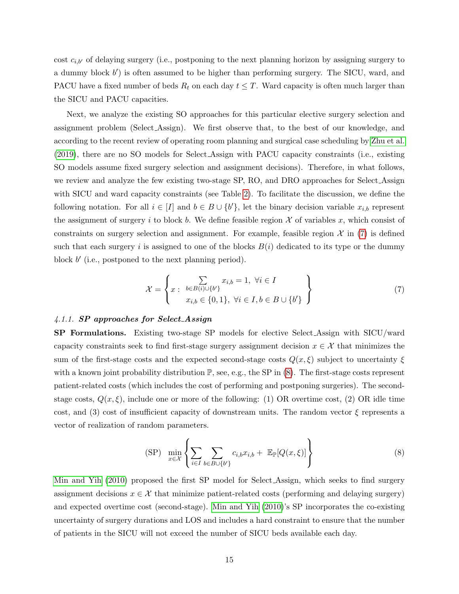cost  $c_{i,b}$  of delaying surgery (i.e., postponing to the next planning horizon by assigning surgery to a dummy block  $b'$ ) is often assumed to be higher than performing surgery. The SICU, ward, and PACU have a fixed number of beds  $R_t$  on each day  $t \leq T$ . Ward capacity is often much larger than the SICU and PACU capacities.

Next, we analyze the existing SO approaches for this particular elective surgery selection and assignment problem (Select Assign). We first observe that, to the best of our knowledge, and according to the recent review of operating room planning and surgical case scheduling by [Zhu et al.](#page-50-0) [\(2019\)](#page-50-0), there are no SO models for Select Assign with PACU capacity constraints (i.e., existing SO models assume fixed surgery selection and assignment decisions). Therefore, in what follows, we review and analyze the few existing two-stage SP, RO, and DRO approaches for Select Assign with SICU and ward capacity constraints (see Table [2\)](#page-16-0). To facilitate the discussion, we define the following notation. For all  $i \in [I]$  and  $b \in B \cup \{b'\}$ , let the binary decision variable  $x_{i,b}$  represent the assignment of surgery i to block b. We define feasible region  $\mathcal X$  of variables x, which consist of constraints on surgery selection and assignment. For example, feasible region  $\mathcal{X}$  in [\(7\)](#page-15-0) is defined such that each surgery i is assigned to one of the blocks  $B(i)$  dedicated to its type or the dummy block  $b'$  (i.e., postponed to the next planning period).

<span id="page-15-0"></span>
$$
\mathcal{X} = \left\{ x : \begin{array}{c} \sum_{b \in B(i) \cup \{b'\}} x_{i,b} = 1, \ \forall i \in I \\ x_{i,b} \in \{0,1\}, \ \forall i \in I, b \in B \cup \{b'\} \end{array} \right\}
$$
(7)

#### 4.1.1. SP approaches for Select Assign

SP Formulations. Existing two-stage SP models for elective Select Assign with SICU/ward capacity constraints seek to find first-stage surgery assignment decision  $x \in \mathcal{X}$  that minimizes the sum of the first-stage costs and the expected second-stage costs  $Q(x,\xi)$  subject to uncertainty  $\xi$ with a known joint probability distribution  $\mathbb{P}$ , see, e.g., the SP in [\(8\)](#page-15-1). The first-stage costs represent patient-related costs (which includes the cost of performing and postponing surgeries). The secondstage costs,  $Q(x,\xi)$ , include one or more of the following: (1) OR overtime cost, (2) OR idle time cost, and (3) cost of insufficient capacity of downstream units. The random vector  $\xi$  represents a vector of realization of random parameters.

<span id="page-15-1"></span>
$$
\text{(SP)} \quad \min_{x \in \mathcal{X}} \left\{ \sum_{i \in I} \sum_{b \in B \cup \{b'\}} c_{i,b} x_{i,b} + \mathbb{E}_{\mathbb{P}}[Q(x,\xi)] \right\} \tag{8}
$$

[Min and Yih](#page-46-2) [\(2010\)](#page-46-2) proposed the first SP model for Select Assign, which seeks to find surgery assignment decisions  $x \in \mathcal{X}$  that minimize patient-related costs (performing and delaying surgery) and expected overtime cost (second-stage). [Min and Yih](#page-46-2) [\(2010\)](#page-46-2)'s SP incorporates the co-existing uncertainty of surgery durations and LOS and includes a hard constraint to ensure that the number of patients in the SICU will not exceed the number of SICU beds available each day.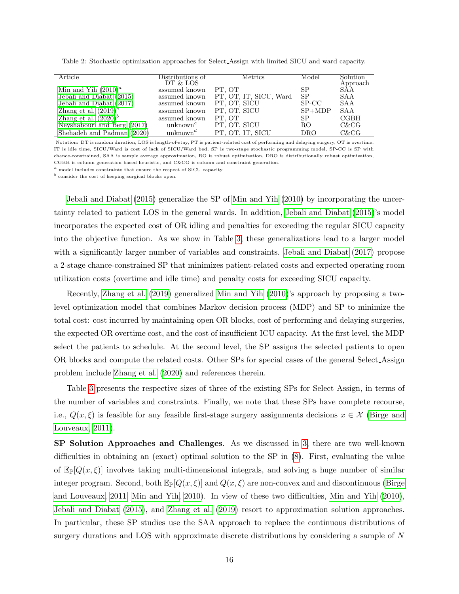| Article                     | Distributions of<br>DT & LOS      | <b>Metrics</b>         | Model     | Solution<br>Approach |
|-----------------------------|-----------------------------------|------------------------|-----------|----------------------|
| Min and Yih $(2010)^a$      | assumed known                     | PT. OT                 | SР        | SAA                  |
| Jebali and Diabat (2015)    | assumed known                     | PT, OT, IT, SICU, Ward | <b>SP</b> | SAA                  |
| Jebali and Diabat (2017)    | assumed known                     | PT, OT, SICU           | SP-CC     | SAA                  |
| Zhang et al. $(2019)^{b}$   | assumed known                     | PT, OT, SICU           | $SP+MDP$  | SAA                  |
| Zhang et al. $(2020)^b$     | assumed known                     | PT. OT                 | SP        | <b>CGBH</b>          |
| Neyshabouri and Berg (2017) | unknown <sup>c</sup>              | PT, OT, SICU           | RO        | $C\& C G$            |
| Shehadeh and Padman (2020)  | unknown <sup><math>d</math></sup> | PT, OT, IT, SICU       | DRO       | C&CG                 |

<span id="page-16-0"></span>Table 2: Stochastic optimization approaches for Select Assign with limited SICU and ward capacity.

Notation: DT is random duration, LOS is length-of-stay, PT is patient-related cost of performing and delaying surgery, OT is overtime, IT is idle time, SICU/Ward is cost of lack of SICU/Ward bed, SP is two-stage stochastic programming model, SP-CC is SP with chance-constrained, SAA is sample average approximation, RO is robust optimization, DRO is distributionally robust optimization, CGBH is column-generation-based heuristic, and C&CG is column-and-constraint generation.

 $a$  model includes constraints that ensure the respect of SICU capacity.

 $<sup>b</sup>$  consider the cost of keeping surgical blocks open.</sup>

[Jebali and Diabat](#page-43-2) [\(2015\)](#page-43-2) generalize the SP of [Min and Yih](#page-46-2) [\(2010\)](#page-46-2) by incorporating the uncertainty related to patient LOS in the general wards. In addition, [Jebali and Diabat](#page-43-2) [\(2015\)](#page-43-2)'s model incorporates the expected cost of OR idling and penalties for exceeding the regular SICU capacity into the objective function. As we show in Table [3,](#page-17-0) these generalizations lead to a larger model with a significantly larger number of variables and constraints. [Jebali and Diabat](#page-43-8) [\(2017\)](#page-43-8) propose a 2-stage chance-constrained SP that minimizes patient-related costs and expected operating room utilization costs (overtime and idle time) and penalty costs for exceeding SICU capacity.

Recently, [Zhang et al.](#page-50-1) [\(2019\)](#page-50-1) generalized [Min and Yih](#page-46-2) [\(2010\)](#page-46-2)'s approach by proposing a twolevel optimization model that combines Markov decision process (MDP) and SP to minimize the total cost: cost incurred by maintaining open OR blocks, cost of performing and delaying surgeries, the expected OR overtime cost, and the cost of insufficient ICU capacity. At the first level, the MDP select the patients to schedule. At the second level, the SP assigns the selected patients to open OR blocks and compute the related costs. Other SPs for special cases of the general Select Assign problem include [Zhang et al.](#page-50-3) [\(2020\)](#page-50-3) and references therein.

Table [3](#page-17-0) presents the respective sizes of three of the existing SPs for Select Assign, in terms of the number of variables and constraints. Finally, we note that these SPs have complete recourse, i.e.,  $Q(x,\xi)$  is feasible for any feasible first-stage surgery assignments decisions  $x \in \mathcal{X}$  [\(Birge and](#page-39-6) [Louveaux, 2011\)](#page-39-6).

SP Solution Approaches and Challenges. As we discussed in [3,](#page-10-0) there are two well-known difficulties in obtaining an (exact) optimal solution to the SP in [\(8\)](#page-15-1). First, evaluating the value of  $\mathbb{E}_{\mathbb{P}}[Q(x,\xi)]$  involves taking multi-dimensional integrals, and solving a huge number of similar integer program. Second, both  $\mathbb{E}_{\mathbb{P}}[Q(x,\xi)]$  and  $Q(x,\xi)$  are non-convex and and discontinuous [\(Birge](#page-39-6) [and Louveaux, 2011;](#page-39-6) [Min and Yih, 2010\)](#page-46-2). In view of these two difficulties, [Min and Yih](#page-46-2) [\(2010\)](#page-46-2), [Jebali and Diabat](#page-43-2) [\(2015\)](#page-43-2), and [Zhang et al.](#page-50-1) [\(2019\)](#page-50-1) resort to approximation solution approaches. In particular, these SP studies use the SAA approach to replace the continuous distributions of surgery durations and LOS with approximate discrete distributions by considering a sample of N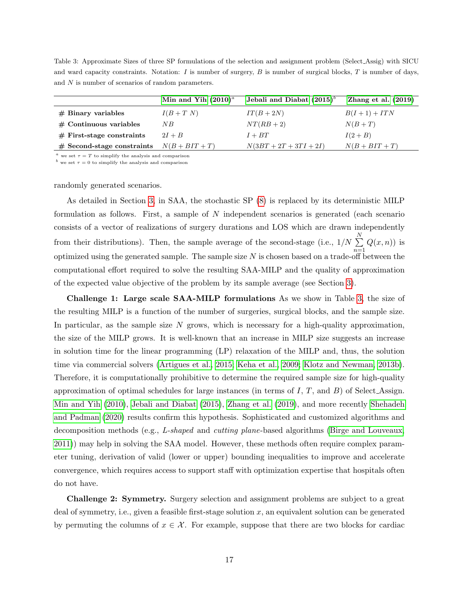<span id="page-17-0"></span>Table 3: Approximate Sizes of three SP formulations of the selection and assignment problem (Select Assig) with SICU and ward capacity constraints. Notation: I is number of surgery, B is number of surgical blocks, T is number of days, and N is number of scenarios of random parameters.

|                              | Min and Yih $(2010)^a$ | Jebali and Diabat $(2015)^{b}$ | Zhang et al. $(2019)$ |
|------------------------------|------------------------|--------------------------------|-----------------------|
| $#$ Binary variables         | $I(B+T N)$             | $IT(B+2N)$                     | $B(I+1) + ITN$        |
| $#$ Continuous variables     | N B                    | $NT(RB + 2)$                   | $N(B+T)$              |
| $#$ First-stage constraints  | $2I+B$                 | $I + BT$                       | $I(2+B)$              |
| $#$ Second-stage constraints | $N(B + BIT + T)$       | $N(3BT + 2T + 3TI + 2I)$       | $N(B + BIT + T)$      |

 $a$  we set  $\tau = T$  to simplify the analysis and comparison

 $b$  we set  $\tau = 0$  to simplify the analysis and comparison

randomly generated scenarios.

As detailed in Section [3,](#page-10-0) in SAA, the stochastic SP [\(8\)](#page-15-1) is replaced by its deterministic MILP formulation as follows. First, a sample of N independent scenarios is generated (each scenario consists of a vector of realizations of surgery durations and LOS which are drawn independently from their distributions). Then, the sample average of the second-stage (i.e.,  $1/N \sum_{n=1}^{N}$ optimized using the generated sample. The sample size N is chosen based on a trade-off between the  $Q(x, n)$  is computational effort required to solve the resulting SAA-MILP and the quality of approximation of the expected value objective of the problem by its sample average (see Section [3\)](#page-10-0).

Challenge 1: Large scale SAA-MILP formulations As we show in Table [3,](#page-17-0) the size of the resulting MILP is a function of the number of surgeries, surgical blocks, and the sample size. In particular, as the sample size  $N$  grows, which is necessary for a high-quality approximation, the size of the MILP grows. It is well-known that an increase in MILP size suggests an increase in solution time for the linear programming (LP) relaxation of the MILP and, thus, the solution time via commercial solvers [\(Artigues et al., 2015;](#page-38-9) [Keha et al., 2009;](#page-44-8) [Klotz and Newman, 2013b\)](#page-44-9). Therefore, it is computationally prohibitive to determine the required sample size for high-quality approximation of optimal schedules for large instances (in terms of  $I, T$ , and  $B$ ) of Select Assign. [Min and Yih](#page-46-2) [\(2010\)](#page-46-2), [Jebali and Diabat](#page-43-2) [\(2015\)](#page-43-2), [Zhang et al.](#page-50-1) [\(2019\)](#page-50-1), and more recently [Shehadeh](#page-48-0) [and Padman](#page-48-0) [\(2020\)](#page-48-0) results confirm this hypothesis. Sophisticated and customized algorithms and decomposition methods (e.g., L-shaped and cutting plane-based algorithms [\(Birge and Louveaux,](#page-39-6) [2011\)](#page-39-6)) may help in solving the SAA model. However, these methods often require complex parameter tuning, derivation of valid (lower or upper) bounding inequalities to improve and accelerate convergence, which requires access to support staff with optimization expertise that hospitals often do not have.

Challenge 2: Symmetry. Surgery selection and assignment problems are subject to a great deal of symmetry, i.e., given a feasible first-stage solution  $x$ , an equivalent solution can be generated by permuting the columns of  $x \in \mathcal{X}$ . For example, suppose that there are two blocks for cardiac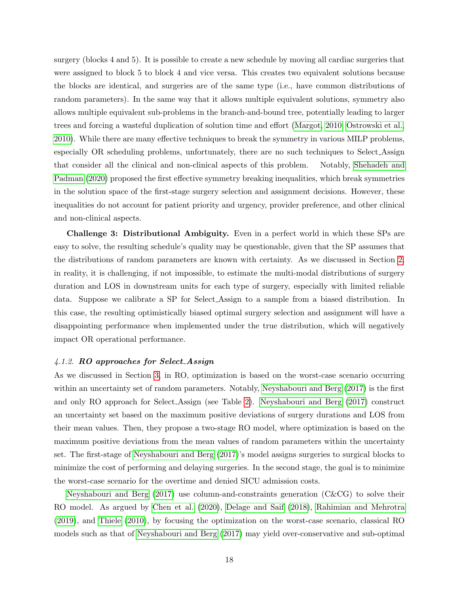surgery (blocks 4 and 5). It is possible to create a new schedule by moving all cardiac surgeries that were assigned to block 5 to block 4 and vice versa. This creates two equivalent solutions because the blocks are identical, and surgeries are of the same type (i.e., have common distributions of random parameters). In the same way that it allows multiple equivalent solutions, symmetry also allows multiple equivalent sub-problems in the branch-and-bound tree, potentially leading to larger trees and forcing a wasteful duplication of solution time and effort [\(Margot, 2010;](#page-45-9) [Ostrowski et al.,](#page-46-10) [2010\)](#page-46-10). While there are many effective techniques to break the symmetry in various MILP problems, especially OR scheduling problems, unfortunately, there are no such techniques to Select Assign that consider all the clinical and non-clinical aspects of this problem. Notably, [Shehadeh and](#page-48-0) [Padman](#page-48-0) [\(2020\)](#page-48-0) proposed the first effective symmetry breaking inequalities, which break symmetries in the solution space of the first-stage surgery selection and assignment decisions. However, these inequalities do not account for patient priority and urgency, provider preference, and other clinical and non-clinical aspects.

Challenge 3: Distributional Ambiguity. Even in a perfect world in which these SPs are easy to solve, the resulting schedule's quality may be questionable, given that the SP assumes that the distributions of random parameters are known with certainty. As we discussed in Section [2,](#page-6-0) in reality, it is challenging, if not impossible, to estimate the multi-modal distributions of surgery duration and LOS in downstream units for each type of surgery, especially with limited reliable data. Suppose we calibrate a SP for Select Assign to a sample from a biased distribution. In this case, the resulting optimistically biased optimal surgery selection and assignment will have a disappointing performance when implemented under the true distribution, which will negatively impact OR operational performance.

#### 4.1.2. RO approaches for Select Assign

As we discussed in Section [3,](#page-10-0) in RO, optimization is based on the worst-case scenario occurring within an uncertainty set of random parameters. Notably, [Neyshabouri and Berg](#page-46-3) [\(2017\)](#page-46-3) is the first and only RO approach for Select Assign (see Table [2\)](#page-16-0). [Neyshabouri and Berg](#page-46-3) [\(2017\)](#page-46-3) construct an uncertainty set based on the maximum positive deviations of surgery durations and LOS from their mean values. Then, they propose a two-stage RO model, where optimization is based on the maximum positive deviations from the mean values of random parameters within the uncertainty set. The first-stage of [Neyshabouri and Berg](#page-46-3) [\(2017\)](#page-46-3)'s model assigns surgeries to surgical blocks to minimize the cost of performing and delaying surgeries. In the second stage, the goal is to minimize the worst-case scenario for the overtime and denied SICU admission costs.

[Neyshabouri and Berg](#page-46-3) [\(2017\)](#page-46-3) use column-and-constraints generation (C&CG) to solve their RO model. As argued by [Chen et al.](#page-40-7) [\(2020\)](#page-40-7), [Delage and Saif](#page-40-9) [\(2018\)](#page-40-9), [Rahimian and Mehrotra](#page-47-8) [\(2019\)](#page-47-8), and [Thiele](#page-48-8) [\(2010\)](#page-48-8), by focusing the optimization on the worst-case scenario, classical RO models such as that of [Neyshabouri and Berg](#page-46-3) [\(2017\)](#page-46-3) may yield over-conservative and sub-optimal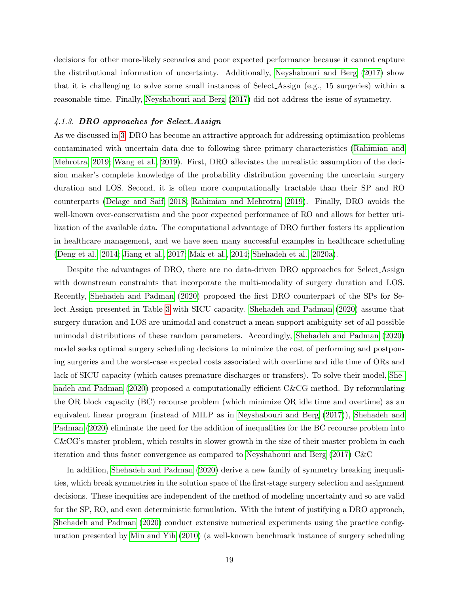decisions for other more-likely scenarios and poor expected performance because it cannot capture the distributional information of uncertainty. Additionally, [Neyshabouri and Berg](#page-46-3) [\(2017\)](#page-46-3) show that it is challenging to solve some small instances of Select Assign (e.g., 15 surgeries) within a reasonable time. Finally, [Neyshabouri and Berg](#page-46-3) [\(2017\)](#page-46-3) did not address the issue of symmetry.

#### <span id="page-19-0"></span>4.1.3. DRO approaches for Select Assign

As we discussed in [3,](#page-10-0) DRO has become an attractive approach for addressing optimization problems contaminated with uncertain data due to following three primary characteristics [\(Rahimian and](#page-47-8) [Mehrotra, 2019;](#page-47-8) [Wang et al., 2019\)](#page-49-1). First, DRO alleviates the unrealistic assumption of the decision maker's complete knowledge of the probability distribution governing the uncertain surgery duration and LOS. Second, it is often more computationally tractable than their SP and RO counterparts [\(Delage and Saif, 2018;](#page-40-9) [Rahimian and Mehrotra, 2019\)](#page-47-8). Finally, DRO avoids the well-known over-conservatism and the poor expected performance of RO and allows for better utilization of the available data. The computational advantage of DRO further fosters its application in healthcare management, and we have seen many successful examples in healthcare scheduling [\(Deng et al., 2014;](#page-40-3) [Jiang et al., 2017;](#page-43-9) [Mak et al., 2014;](#page-45-10) [Shehadeh et al., 2020a\)](#page-48-1).

Despite the advantages of DRO, there are no data-driven DRO approaches for Select Assign with downstream constraints that incorporate the multi-modality of surgery duration and LOS. Recently, [Shehadeh and Padman](#page-48-0) [\(2020\)](#page-48-0) proposed the first DRO counterpart of the SPs for Select Assign presented in Table [3](#page-17-0) with SICU capacity. [Shehadeh and Padman](#page-48-0) [\(2020\)](#page-48-0) assume that surgery duration and LOS are unimodal and construct a mean-support ambiguity set of all possible unimodal distributions of these random parameters. Accordingly, [Shehadeh and Padman](#page-48-0) [\(2020\)](#page-48-0) model seeks optimal surgery scheduling decisions to minimize the cost of performing and postponing surgeries and the worst-case expected costs associated with overtime and idle time of ORs and lack of SICU capacity (which causes premature discharges or transfers). To solve their model, [She](#page-48-0)[hadeh and Padman](#page-48-0) [\(2020\)](#page-48-0) proposed a computationally efficient C&CG method. By reformulating the OR block capacity (BC) recourse problem (which minimize OR idle time and overtime) as an equivalent linear program (instead of MILP as in [Neyshabouri and Berg](#page-46-3) [\(2017\)](#page-46-3)), [Shehadeh and](#page-48-0) [Padman](#page-48-0) [\(2020\)](#page-48-0) eliminate the need for the addition of inequalities for the BC recourse problem into C&CG's master problem, which results in slower growth in the size of their master problem in each iteration and thus faster convergence as compared to [Neyshabouri and Berg](#page-46-3) [\(2017\)](#page-46-3) C&C

In addition, [Shehadeh and Padman](#page-48-0) [\(2020\)](#page-48-0) derive a new family of symmetry breaking inequalities, which break symmetries in the solution space of the first-stage surgery selection and assignment decisions. These inequities are independent of the method of modeling uncertainty and so are valid for the SP, RO, and even deterministic formulation. With the intent of justifying a DRO approach, [Shehadeh and Padman](#page-48-0) [\(2020\)](#page-48-0) conduct extensive numerical experiments using the practice configuration presented by [Min and Yih](#page-46-2) [\(2010\)](#page-46-2) (a well-known benchmark instance of surgery scheduling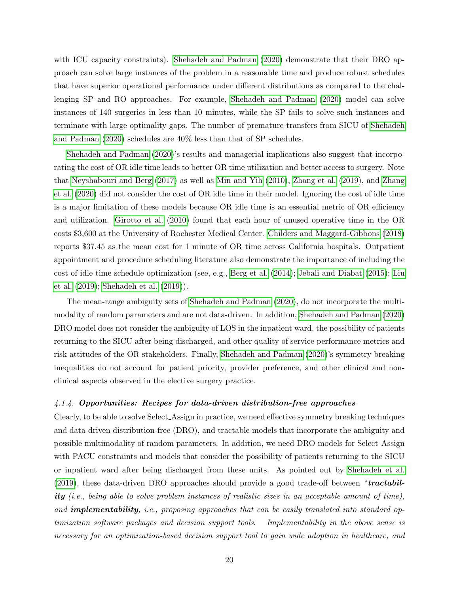with ICU capacity constraints). [Shehadeh and Padman](#page-48-0) [\(2020\)](#page-48-0) demonstrate that their DRO approach can solve large instances of the problem in a reasonable time and produce robust schedules that have superior operational performance under different distributions as compared to the challenging SP and RO approaches. For example, [Shehadeh and Padman](#page-48-0) [\(2020\)](#page-48-0) model can solve instances of 140 surgeries in less than 10 minutes, while the SP fails to solve such instances and terminate with large optimality gaps. The number of premature transfers from SICU of [Shehadeh](#page-48-0) [and Padman](#page-48-0) [\(2020\)](#page-48-0) schedules are 40% less than that of SP schedules.

[Shehadeh and Padman](#page-48-0) [\(2020\)](#page-48-0)'s results and managerial implications also suggest that incorporating the cost of OR idle time leads to better OR time utilization and better access to surgery. Note that [Neyshabouri and Berg](#page-46-3) [\(2017\)](#page-46-3) as well as [Min and Yih](#page-46-2) [\(2010\)](#page-46-2), [Zhang et al.](#page-50-1) [\(2019\)](#page-50-1), and [Zhang](#page-50-3) [et al.](#page-50-3) [\(2020\)](#page-50-3) did not consider the cost of OR idle time in their model. Ignoring the cost of idle time is a major limitation of these models because OR idle time is an essential metric of OR efficiency and utilization. [Girotto et al.](#page-42-9) [\(2010\)](#page-42-9) found that each hour of unused operative time in the OR costs \$3,600 at the University of Rochester Medical Center. [Childers and Maggard-Gibbons](#page-40-11) [\(2018\)](#page-40-11) reports \$37.45 as the mean cost for 1 minute of OR time across California hospitals. Outpatient appointment and procedure scheduling literature also demonstrate the importance of including the cost of idle time schedule optimization (see, e.g., [Berg et al.](#page-38-5) [\(2014\)](#page-38-5); [Jebali and Diabat](#page-43-2) [\(2015\)](#page-43-2); [Liu](#page-45-2) [et al.](#page-45-2) [\(2019\)](#page-45-2); [Shehadeh et al.](#page-47-2) [\(2019\)](#page-47-2)).

The mean-range ambiguity sets of [Shehadeh and Padman](#page-48-0) [\(2020\)](#page-48-0), do not incorporate the multimodality of random parameters and are not data-driven. In addition, [Shehadeh and Padman](#page-48-0) [\(2020\)](#page-48-0) DRO model does not consider the ambiguity of LOS in the inpatient ward, the possibility of patients returning to the SICU after being discharged, and other quality of service performance metrics and risk attitudes of the OR stakeholders. Finally, [Shehadeh and Padman](#page-48-0) [\(2020\)](#page-48-0)'s symmetry breaking inequalities do not account for patient priority, provider preference, and other clinical and nonclinical aspects observed in the elective surgery practice.

#### 4.1.4. Opportunities: Recipes for data-driven distribution-free approaches

Clearly, to be able to solve Select Assign in practice, we need effective symmetry breaking techniques and data-driven distribution-free (DRO), and tractable models that incorporate the ambiguity and possible multimodality of random parameters. In addition, we need DRO models for Select Assign with PACU constraints and models that consider the possibility of patients returning to the SICU or inpatient ward after being discharged from these units. As pointed out by [Shehadeh et al.](#page-47-2)  $(2019)$ , these data-driven DRO approaches should provide a good trade-off between "tractability (i.e., being able to solve problem instances of realistic sizes in an acceptable amount of time), and **implementability**, i.e., proposing approaches that can be easily translated into standard optimization software packages and decision support tools. Implementability in the above sense is necessary for an optimization-based decision support tool to gain wide adoption in healthcare, and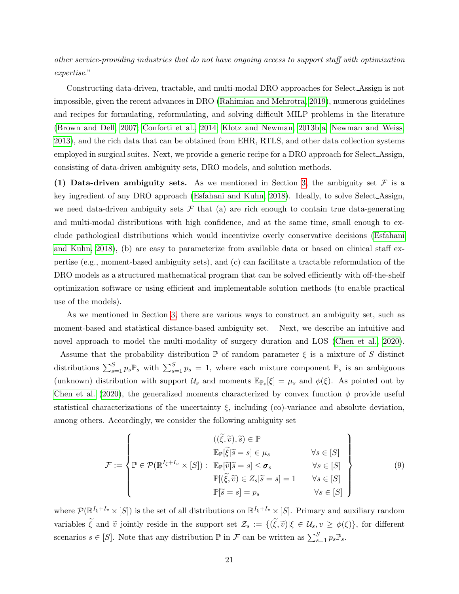other service-providing industries that do not have ongoing access to support staff with optimization expertise."

Constructing data-driven, tractable, and multi-modal DRO approaches for Select Assign is not impossible, given the recent advances in DRO [\(Rahimian and Mehrotra, 2019\)](#page-47-8), numerous guidelines and recipes for formulating, reformulating, and solving difficult MILP problems in the literature [\(Brown and Dell, 2007;](#page-39-8) [Conforti et al., 2014;](#page-40-12) [Klotz and Newman, 2013b,](#page-44-9)[a;](#page-44-10) [Newman and Weiss,](#page-46-11) [2013\)](#page-46-11), and the rich data that can be obtained from EHR, RTLS, and other data collection systems employed in surgical suites. Next, we provide a generic recipe for a DRO approach for Select Assign, consisting of data-driven ambiguity sets, DRO models, and solution methods.

(1) Data-driven ambiguity sets. As we mentioned in Section [3,](#page-10-0) the ambiguity set  $\mathcal F$  is a key ingredient of any DRO approach [\(Esfahani and Kuhn, 2018\)](#page-41-2). Ideally, to solve Select Assign, we need data-driven ambiguity sets  $\mathcal F$  that (a) are rich enough to contain true data-generating and multi-modal distributions with high confidence, and at the same time, small enough to exclude pathological distributions which would incentivize overly conservative decisions [\(Esfahani](#page-41-2) [and Kuhn, 2018\)](#page-41-2), (b) are easy to parameterize from available data or based on clinical staff expertise (e.g., moment-based ambiguity sets), and (c) can facilitate a tractable reformulation of the DRO models as a structured mathematical program that can be solved efficiently with off-the-shelf optimization software or using efficient and implementable solution methods (to enable practical use of the models).

As we mentioned in Section [3,](#page-10-0) there are various ways to construct an ambiguity set, such as moment-based and statistical distance-based ambiguity set. Next, we describe an intuitive and novel approach to model the multi-modality of surgery duration and LOS [\(Chen et al., 2020\)](#page-40-7).

Assume that the probability distribution  $\mathbb P$  of random parameter  $\xi$  is a mixture of S distinct distributions  $\sum_{s=1}^{S} p_s \mathbb{P}_s$  with  $\sum_{s=1}^{S} p_s = 1$ , where each mixture component  $\mathbb{P}_s$  is an ambiguous (unknown) distribution with support  $\mathcal{U}_s$  and moments  $\mathbb{E}_{\mathbb{P}_s}[\xi] = \mu_s$  and  $\phi(\xi)$ . As pointed out by [Chen et al.](#page-40-7) [\(2020\)](#page-40-7), the generalized moments characterized by convex function  $\phi$  provide useful statistical characterizations of the uncertainty  $\xi$ , including (co)-variance and absolute deviation, among others. Accordingly, we consider the following ambiguity set

<span id="page-21-0"></span>
$$
\mathcal{F} := \left\{ \mathbb{P} \in \mathcal{P}(\mathbb{R}^{I_{\xi}+I_{v}} \times [S]) : \begin{array}{ll} ((\widetilde{\xi}, \widetilde{v}), \widetilde{s}) \in \mathbb{P} \\ \mathbb{E}_{\mathbb{P}}[\widetilde{\xi}|\widetilde{s} = s] \in \mu_{s} & \forall s \in [S] \\ \mathbb{P}(\widetilde{\xi}, \widetilde{v}) \in Z_{s}|\widetilde{s} = s] = 1 & \forall s \in [S] \\ \mathbb{P}[\widetilde{s} = s] = p_{s} & \forall s \in [S] \end{array} \right\}
$$
(9)

where  $\mathcal{P}(\mathbb{R}^{I_{\xi}+I_v}\times [S])$  is the set of all distributions on  $\mathbb{R}^{I_{\xi}+I_v}\times [S]$ . Primary and auxiliary random variables  $\tilde{\xi}$  and  $\tilde{v}$  jointly reside in the support set  $\mathcal{Z}_s := \{(\tilde{\xi}, \tilde{v}) | \xi \in \mathcal{U}_s, v \geq \phi(\xi) \}$ , for different scenarios  $s \in [S]$ . Note that any distribution  $\mathbb P$  in  $\mathcal F$  can be written as  $\sum_{s=1}^S p_s \mathbb{P}_s$ .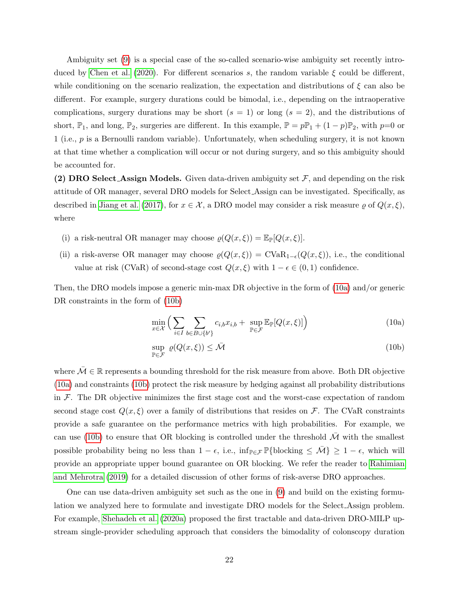Ambiguity set [\(9\)](#page-21-0) is a special case of the so-called scenario-wise ambiguity set recently intro-duced by [Chen et al.](#page-40-7) [\(2020\)](#page-40-7). For different scenarios s, the random variable  $\xi$  could be different, while conditioning on the scenario realization, the expectation and distributions of  $\xi$  can also be different. For example, surgery durations could be bimodal, i.e., depending on the intraoperative complications, surgery durations may be short  $(s = 1)$  or long  $(s = 2)$ , and the distributions of short,  $\mathbb{P}_1$ , and long,  $\mathbb{P}_2$ , surgeries are different. In this example,  $\mathbb{P} = p\mathbb{P}_1 + (1-p)\mathbb{P}_2$ , with  $p=0$  or 1 (i.e., p is a Bernoulli random variable). Unfortunately, when scheduling surgery, it is not known at that time whether a complication will occur or not during surgery, and so this ambiguity should be accounted for.

(2) DRO Select Assign Models. Given data-driven ambiguity set  $F$ , and depending on the risk attitude of OR manager, several DRO models for Select Assign can be investigated. Specifically, as described in [Jiang et al.](#page-43-9) [\(2017\)](#page-43-9), for  $x \in \mathcal{X}$ , a DRO model may consider a risk measure  $\varrho$  of  $Q(x, \xi)$ , where

- (i) a risk-neutral OR manager may choose  $\varrho(Q(x,\xi)) = \mathbb{E}_{\mathbb{P}}[Q(x,\xi)].$
- (ii) a risk-averse OR manager may choose  $\varrho(Q(x,\xi)) = \text{CVaR}_{1-\epsilon}(Q(x,\xi))$ , i.e., the conditional value at risk (CVaR) of second-stage cost  $Q(x, \xi)$  with  $1 - \epsilon \in (0, 1)$  confidence.

Then, the DRO models impose a generic min-max DR objective in the form of [\(10a\)](#page-22-0) and/or generic DR constraints in the form of [\(10b\)](#page-22-1)

<span id="page-22-0"></span>
$$
\min_{x \in \mathcal{X}} \left( \sum_{i \in I} \sum_{b \in B \cup \{b'\}} c_{i,b} x_{i,b} + \sup_{\mathbb{P} \in \mathcal{F}} \mathbb{E}_{\mathbb{P}}[Q(x,\xi)] \right) \tag{10a}
$$

<span id="page-22-1"></span>
$$
\sup_{\mathbb{P}\in\mathcal{F}}\,\varrho(Q(x,\xi))\leq\bar{\mathcal{M}}\tag{10b}
$$

where  $\overline{\mathcal{M}} \in \mathbb{R}$  represents a bounding threshold for the risk measure from above. Both DR objective [\(10a\)](#page-22-0) and constraints [\(10b\)](#page-22-1) protect the risk measure by hedging against all probability distributions in  $\mathcal F$ . The DR objective minimizes the first stage cost and the worst-case expectation of random second stage cost  $Q(x, \xi)$  over a family of distributions that resides on F. The CVaR constraints provide a safe guarantee on the performance metrics with high probabilities. For example, we can use [\(10b\)](#page-22-1) to ensure that OR blocking is controlled under the threshold  $\bar{\mathcal{M}}$  with the smallest possible probability being no less than  $1 - \epsilon$ , i.e., inf<sub>P∈F</sub> P{blocking  $\leq \bar{\mathcal{M}}$ }  $\geq 1 - \epsilon$ , which will provide an appropriate upper bound guarantee on OR blocking. We refer the reader to [Rahimian](#page-47-8) [and Mehrotra](#page-47-8) [\(2019\)](#page-47-8) for a detailed discussion of other forms of risk-averse DRO approaches.

One can use data-driven ambiguity set such as the one in [\(9\)](#page-21-0) and build on the existing formulation we analyzed here to formulate and investigate DRO models for the Select Assign problem. For example, [Shehadeh et al.](#page-48-1) [\(2020a\)](#page-48-1) proposed the first tractable and data-driven DRO-MILP upstream single-provider scheduling approach that considers the bimodality of colonscopy duration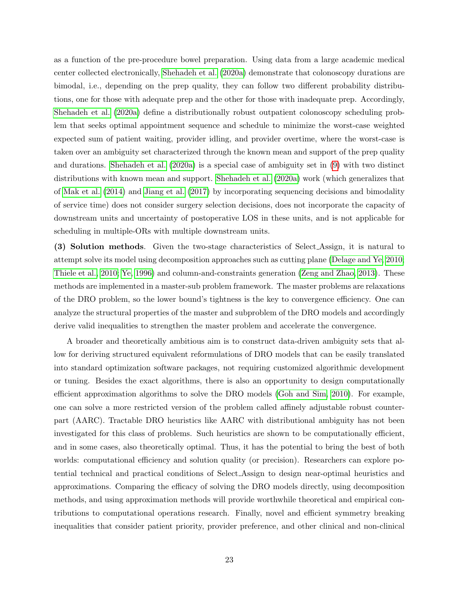as a function of the pre-procedure bowel preparation. Using data from a large academic medical center collected electronically, [Shehadeh et al.](#page-48-1) [\(2020a\)](#page-48-1) demonstrate that colonoscopy durations are bimodal, i.e., depending on the prep quality, they can follow two different probability distributions, one for those with adequate prep and the other for those with inadequate prep. Accordingly, [Shehadeh et al.](#page-48-1) [\(2020a\)](#page-48-1) define a distributionally robust outpatient colonoscopy scheduling problem that seeks optimal appointment sequence and schedule to minimize the worst-case weighted expected sum of patient waiting, provider idling, and provider overtime, where the worst-case is taken over an ambiguity set characterized through the known mean and support of the prep quality and durations. [Shehadeh et al.](#page-48-1) [\(2020a\)](#page-48-1) is a special case of ambiguity set in [\(9\)](#page-21-0) with two distinct distributions with known mean and support. [Shehadeh et al.](#page-48-1) [\(2020a\)](#page-48-1) work (which generalizes that of [Mak et al.](#page-45-10) [\(2014\)](#page-45-10) and [Jiang et al.](#page-43-9) [\(2017\)](#page-43-9) by incorporating sequencing decisions and bimodality of service time) does not consider surgery selection decisions, does not incorporate the capacity of downstream units and uncertainty of postoperative LOS in these units, and is not applicable for scheduling in multiple-ORs with multiple downstream units.

(3) Solution methods. Given the two-stage characteristics of Select Assign, it is natural to attempt solve its model using decomposition approaches such as cutting plane [\(Delage and Ye, 2010;](#page-40-10) [Thiele et al., 2010;](#page-48-9) [Ye, 1996\)](#page-49-8) and column-and-constraints generation [\(Zeng and Zhao, 2013\)](#page-49-9). These methods are implemented in a master-sub problem framework. The master problems are relaxations of the DRO problem, so the lower bound's tightness is the key to convergence efficiency. One can analyze the structural properties of the master and subproblem of the DRO models and accordingly derive valid inequalities to strengthen the master problem and accelerate the convergence.

A broader and theoretically ambitious aim is to construct data-driven ambiguity sets that allow for deriving structured equivalent reformulations of DRO models that can be easily translated into standard optimization software packages, not requiring customized algorithmic development or tuning. Besides the exact algorithms, there is also an opportunity to design computationally efficient approximation algorithms to solve the DRO models [\(Goh and Sim, 2010\)](#page-42-10). For example, one can solve a more restricted version of the problem called affinely adjustable robust counterpart (AARC). Tractable DRO heuristics like AARC with distributional ambiguity has not been investigated for this class of problems. Such heuristics are shown to be computationally efficient, and in some cases, also theoretically optimal. Thus, it has the potential to bring the best of both worlds: computational efficiency and solution quality (or precision). Researchers can explore potential technical and practical conditions of Select Assign to design near-optimal heuristics and approximations. Comparing the efficacy of solving the DRO models directly, using decomposition methods, and using approximation methods will provide worthwhile theoretical and empirical contributions to computational operations research. Finally, novel and efficient symmetry breaking inequalities that consider patient priority, provider preference, and other clinical and non-clinical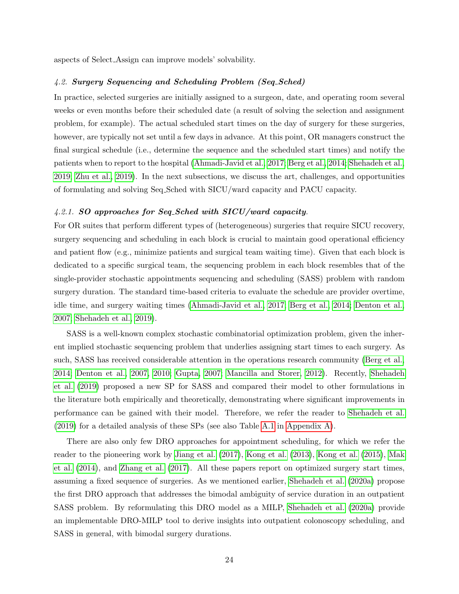aspects of Select Assign can improve models' solvability.

## 4.2. Surgery Sequencing and Scheduling Problem (Seq Sched)

In practice, selected surgeries are initially assigned to a surgeon, date, and operating room several weeks or even months before their scheduled date (a result of solving the selection and assignment problem, for example). The actual scheduled start times on the day of surgery for these surgeries, however, are typically not set until a few days in advance. At this point, OR managers construct the final surgical schedule (i.e., determine the sequence and the scheduled start times) and notify the patients when to report to the hospital [\(Ahmadi-Javid et al., 2017;](#page-38-1) [Berg et al., 2014;](#page-38-5) [Shehadeh et al.,](#page-47-2) [2019;](#page-47-2) [Zhu et al., 2019\)](#page-50-0). In the next subsections, we discuss the art, challenges, and opportunities of formulating and solving Seq Sched with SICU/ward capacity and PACU capacity.

#### 4.2.1. SO approaches for Seq Sched with SICU/ward capacity.

For OR suites that perform different types of (heterogeneous) surgeries that require SICU recovery, surgery sequencing and scheduling in each block is crucial to maintain good operational efficiency and patient flow (e.g., minimize patients and surgical team waiting time). Given that each block is dedicated to a specific surgical team, the sequencing problem in each block resembles that of the single-provider stochastic appointments sequencing and scheduling (SASS) problem with random surgery duration. The standard time-based criteria to evaluate the schedule are provider overtime, idle time, and surgery waiting times [\(Ahmadi-Javid et al., 2017;](#page-38-1) [Berg et al., 2014;](#page-38-5) [Denton et al.,](#page-40-1) [2007;](#page-40-1) [Shehadeh et al., 2019\)](#page-47-2).

SASS is a well-known complex stochastic combinatorial optimization problem, given the inherent implied stochastic sequencing problem that underlies assigning start times to each surgery. As such, SASS has received considerable attention in the operations research community [\(Berg et al.,](#page-38-5) [2014;](#page-38-5) [Denton et al., 2007,](#page-40-1) [2010;](#page-40-2) [Gupta, 2007;](#page-42-11) [Mancilla and Storer, 2012\)](#page-45-11). Recently, [Shehadeh](#page-47-2) [et al.](#page-47-2) [\(2019\)](#page-47-2) proposed a new SP for SASS and compared their model to other formulations in the literature both empirically and theoretically, demonstrating where significant improvements in performance can be gained with their model. Therefore, we refer the reader to [Shehadeh et al.](#page-47-2) [\(2019\)](#page-47-2) for a detailed analysis of these SPs (see also Table [A.1](#page-51-0) in [Appendix A\)](#page-50-2).

There are also only few DRO approaches for appointment scheduling, for which we refer the reader to the pioneering work by [Jiang et al.](#page-43-9) [\(2017\)](#page-43-9), [Kong et al.](#page-44-11) [\(2013\)](#page-44-11), [Kong et al.](#page-44-12) [\(2015\)](#page-44-12), [Mak](#page-45-10) [et al.](#page-45-10) [\(2014\)](#page-45-10), and [Zhang et al.](#page-50-6) [\(2017\)](#page-50-6). All these papers report on optimized surgery start times, assuming a fixed sequence of surgeries. As we mentioned earlier, [Shehadeh et al.](#page-48-1) [\(2020a\)](#page-48-1) propose the first DRO approach that addresses the bimodal ambiguity of service duration in an outpatient SASS problem. By reformulating this DRO model as a MILP, [Shehadeh et al.](#page-48-1) [\(2020a\)](#page-48-1) provide an implementable DRO-MILP tool to derive insights into outpatient colonoscopy scheduling, and SASS in general, with bimodal surgery durations.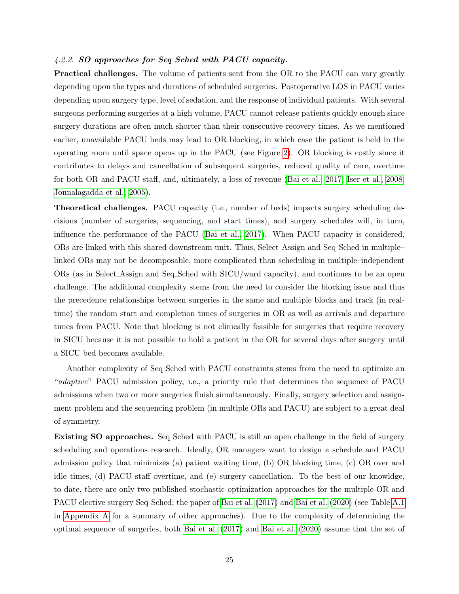#### 4.2.2. SO approaches for Seq Sched with PACU capacity.

Practical challenges. The volume of patients sent from the OR to the PACU can vary greatly depending upon the types and durations of scheduled surgeries. Postoperative LOS in PACU varies depending upon surgery type, level of sedation, and the response of individual patients. With several surgeons performing surgeries at a high volume, PACU cannot release patients quickly enough since surgery durations are often much shorter than their consecutive recovery times. As we mentioned earlier, unavailable PACU beds may lead to OR blocking, in which case the patient is held in the operating room until space opens up in the PACU (see Figure [2\)](#page-8-0). OR blocking is costly since it contributes to delays and cancellation of subsequent surgeries, reduced quality of care, overtime for both OR and PACU staff, and, ultimately, a loss of revenue [\(Bai et al., 2017;](#page-38-0) [Iser et al., 2008;](#page-43-4) [Jonnalagadda et al., 2005\)](#page-43-3).

Theoretical challenges. PACU capacity (i.e., number of beds) impacts surgery scheduling decisions (number of surgeries, sequencing, and start times), and surgery schedules will, in turn, influence the performance of the PACU [\(Bai et al., 2017\)](#page-38-0). When PACU capacity is considered, ORs are linked with this shared downstream unit. Thus, Select Assign and Seq Sched in multiple– linked ORs may not be decomposable, more complicated than scheduling in multiple–independent ORs (as in Select Assign and Seq Sched with SICU/ward capacity), and continues to be an open challenge. The additional complexity stems from the need to consider the blocking issue and thus the precedence relationships between surgeries in the same and multiple blocks and track (in realtime) the random start and completion times of surgeries in OR as well as arrivals and departure times from PACU. Note that blocking is not clinically feasible for surgeries that require recovery in SICU because it is not possible to hold a patient in the OR for several days after surgery until a SICU bed becomes available.

Another complexity of Seq Sched with PACU constraints stems from the need to optimize an "adaptive" PACU admission policy, i.e., a priority rule that determines the sequence of PACU admissions when two or more surgeries finish simultaneously. Finally, surgery selection and assignment problem and the sequencing problem (in multiple ORs and PACU) are subject to a great deal of symmetry.

Existing SO approaches. Seq Sched with PACU is still an open challenge in the field of surgery scheduling and operations research. Ideally, OR managers want to design a schedule and PACU admission policy that minimizes (a) patient waiting time, (b) OR blocking time, (c) OR over and idle times, (d) PACU staff overtime, and (e) surgery cancellation. To the best of our knowldge, to date, there are only two published stochastic optimization approaches for the multiple-OR and PACU elective surgery Seq. Sched; the paper of [Bai et al.](#page-38-10) [\(2017\)](#page-38-0) and Bai et al. [\(2020\)](#page-38-10) (see Table [A.1](#page-51-0) in [Appendix A](#page-50-2) for a summary of other approaches). Due to the complexity of determining the optimal sequence of surgeries, both [Bai et al.](#page-38-0) [\(2017\)](#page-38-0) and [Bai et al.](#page-38-10) [\(2020\)](#page-38-10) assume that the set of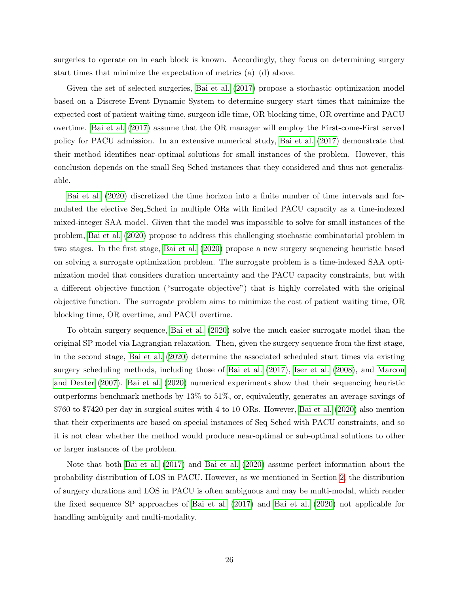surgeries to operate on in each block is known. Accordingly, they focus on determining surgery start times that minimize the expectation of metrics  $(a)$ – $(d)$  above.

Given the set of selected surgeries, [Bai et al.](#page-38-0) [\(2017\)](#page-38-0) propose a stochastic optimization model based on a Discrete Event Dynamic System to determine surgery start times that minimize the expected cost of patient waiting time, surgeon idle time, OR blocking time, OR overtime and PACU overtime. [Bai et al.](#page-38-0) [\(2017\)](#page-38-0) assume that the OR manager will employ the First-come-First served policy for PACU admission. In an extensive numerical study, [Bai et al.](#page-38-0) [\(2017\)](#page-38-0) demonstrate that their method identifies near-optimal solutions for small instances of the problem. However, this conclusion depends on the small Seq Sched instances that they considered and thus not generalizable.

[Bai et al.](#page-38-10) [\(2020\)](#page-38-10) discretized the time horizon into a finite number of time intervals and formulated the elective Seq Sched in multiple ORs with limited PACU capacity as a time-indexed mixed-integer SAA model. Given that the model was impossible to solve for small instances of the problem, [Bai et al.](#page-38-10) [\(2020\)](#page-38-10) propose to address this challenging stochastic combinatorial problem in two stages. In the first stage, [Bai et al.](#page-38-10) [\(2020\)](#page-38-10) propose a new surgery sequencing heuristic based on solving a surrogate optimization problem. The surrogate problem is a time-indexed SAA optimization model that considers duration uncertainty and the PACU capacity constraints, but with a different objective function ("surrogate objective") that is highly correlated with the original objective function. The surrogate problem aims to minimize the cost of patient waiting time, OR blocking time, OR overtime, and PACU overtime.

To obtain surgery sequence, [Bai et al.](#page-38-10) [\(2020\)](#page-38-10) solve the much easier surrogate model than the original SP model via Lagrangian relaxation. Then, given the surgery sequence from the first-stage, in the second stage, [Bai et al.](#page-38-10) [\(2020\)](#page-38-10) determine the associated scheduled start times via existing surgery scheduling methods, including those of [Bai et al.](#page-38-0) [\(2017\)](#page-38-0), [Iser et al.](#page-43-4) [\(2008\)](#page-43-4), and [Marcon](#page-45-12) [and Dexter](#page-45-12) [\(2007\)](#page-45-12). [Bai et al.](#page-38-10) [\(2020\)](#page-38-10) numerical experiments show that their sequencing heuristic outperforms benchmark methods by 13% to 51%, or, equivalently, generates an average savings of \$760 to \$7420 per day in surgical suites with 4 to 10 ORs. However, [Bai et al.](#page-38-10) [\(2020\)](#page-38-10) also mention that their experiments are based on special instances of Seq Sched with PACU constraints, and so it is not clear whether the method would produce near-optimal or sub-optimal solutions to other or larger instances of the problem.

Note that both [Bai et al.](#page-38-0) [\(2017\)](#page-38-0) and [Bai et al.](#page-38-10) [\(2020\)](#page-38-10) assume perfect information about the probability distribution of LOS in PACU. However, as we mentioned in Section [2,](#page-6-0) the distribution of surgery durations and LOS in PACU is often ambiguous and may be multi-modal, which render the fixed sequence SP approaches of [Bai et al.](#page-38-0) [\(2017\)](#page-38-0) and [Bai et al.](#page-38-10) [\(2020\)](#page-38-10) not applicable for handling ambiguity and multi-modality.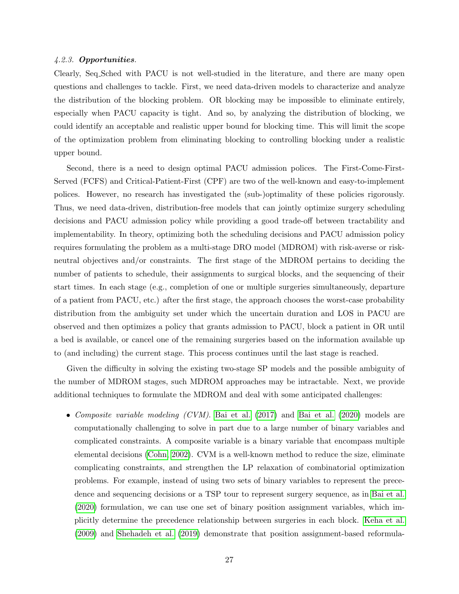#### 4.2.3. Opportunities.

Clearly, Seq Sched with PACU is not well-studied in the literature, and there are many open questions and challenges to tackle. First, we need data-driven models to characterize and analyze the distribution of the blocking problem. OR blocking may be impossible to eliminate entirely, especially when PACU capacity is tight. And so, by analyzing the distribution of blocking, we could identify an acceptable and realistic upper bound for blocking time. This will limit the scope of the optimization problem from eliminating blocking to controlling blocking under a realistic upper bound.

Second, there is a need to design optimal PACU admission polices. The First-Come-First-Served (FCFS) and Critical-Patient-First (CPF) are two of the well-known and easy-to-implement polices. However, no research has investigated the (sub-)optimality of these policies rigorously. Thus, we need data-driven, distribution-free models that can jointly optimize surgery scheduling decisions and PACU admission policy while providing a good trade-off between tractability and implementability. In theory, optimizing both the scheduling decisions and PACU admission policy requires formulating the problem as a multi-stage DRO model (MDROM) with risk-averse or riskneutral objectives and/or constraints. The first stage of the MDROM pertains to deciding the number of patients to schedule, their assignments to surgical blocks, and the sequencing of their start times. In each stage (e.g., completion of one or multiple surgeries simultaneously, departure of a patient from PACU, etc.) after the first stage, the approach chooses the worst-case probability distribution from the ambiguity set under which the uncertain duration and LOS in PACU are observed and then optimizes a policy that grants admission to PACU, block a patient in OR until a bed is available, or cancel one of the remaining surgeries based on the information available up to (and including) the current stage. This process continues until the last stage is reached.

Given the difficulty in solving the existing two-stage SP models and the possible ambiguity of the number of MDROM stages, such MDROM approaches may be intractable. Next, we provide additional techniques to formulate the MDROM and deal with some anticipated challenges:

• Composite variable modeling (CVM). [Bai et al.](#page-38-10) [\(2017\)](#page-38-0) and Bai et al. [\(2020\)](#page-38-10) models are computationally challenging to solve in part due to a large number of binary variables and complicated constraints. A composite variable is a binary variable that encompass multiple elemental decisions [\(Cohn, 2002\)](#page-40-13). CVM is a well-known method to reduce the size, eliminate complicating constraints, and strengthen the LP relaxation of combinatorial optimization problems. For example, instead of using two sets of binary variables to represent the precedence and sequencing decisions or a TSP tour to represent surgery sequence, as in [Bai et al.](#page-38-10) [\(2020\)](#page-38-10) formulation, we can use one set of binary position assignment variables, which implicitly determine the precedence relationship between surgeries in each block. [Keha et al.](#page-44-8) [\(2009\)](#page-44-8) and [Shehadeh et al.](#page-47-2) [\(2019\)](#page-47-2) demonstrate that position assignment-based reformula-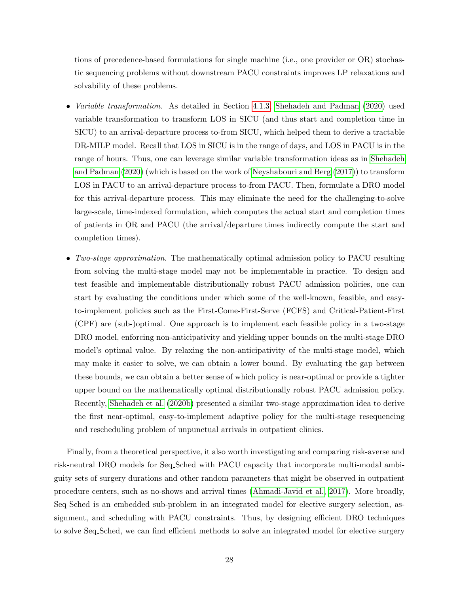tions of precedence-based formulations for single machine (i.e., one provider or OR) stochastic sequencing problems without downstream PACU constraints improves LP relaxations and solvability of these problems.

- *Variable transformation.* As detailed in Section [4.1.3,](#page-19-0) [Shehadeh and Padman](#page-48-0) [\(2020\)](#page-48-0) used variable transformation to transform LOS in SICU (and thus start and completion time in SICU) to an arrival-departure process to-from SICU, which helped them to derive a tractable DR-MILP model. Recall that LOS in SICU is in the range of days, and LOS in PACU is in the range of hours. Thus, one can leverage similar variable transformation ideas as in [Shehadeh](#page-48-0) [and Padman](#page-48-0) [\(2020\)](#page-48-0) (which is based on the work of [Neyshabouri and Berg](#page-46-3) [\(2017\)](#page-46-3)) to transform LOS in PACU to an arrival-departure process to-from PACU. Then, formulate a DRO model for this arrival-departure process. This may eliminate the need for the challenging-to-solve large-scale, time-indexed formulation, which computes the actual start and completion times of patients in OR and PACU (the arrival/departure times indirectly compute the start and completion times).
- Two-stage approximation. The mathematically optimal admission policy to PACU resulting from solving the multi-stage model may not be implementable in practice. To design and test feasible and implementable distributionally robust PACU admission policies, one can start by evaluating the conditions under which some of the well-known, feasible, and easyto-implement policies such as the First-Come-First-Serve (FCFS) and Critical-Patient-First (CPF) are (sub-)optimal. One approach is to implement each feasible policy in a two-stage DRO model, enforcing non-anticipativity and yielding upper bounds on the multi-stage DRO model's optimal value. By relaxing the non-anticipativity of the multi-stage model, which may make it easier to solve, we can obtain a lower bound. By evaluating the gap between these bounds, we can obtain a better sense of which policy is near-optimal or provide a tighter upper bound on the mathematically optimal distributionally robust PACU admission policy. Recently, [Shehadeh et al.](#page-48-10) [\(2020b\)](#page-48-10) presented a similar two-stage approximation idea to derive the first near-optimal, easy-to-implement adaptive policy for the multi-stage resequencing and rescheduling problem of unpunctual arrivals in outpatient clinics.

Finally, from a theoretical perspective, it also worth investigating and comparing risk-averse and risk-neutral DRO models for Seq Sched with PACU capacity that incorporate multi-modal ambiguity sets of surgery durations and other random parameters that might be observed in outpatient procedure centers, such as no-shows and arrival times [\(Ahmadi-Javid et al., 2017\)](#page-38-1). More broadly, Seq Sched is an embedded sub-problem in an integrated model for elective surgery selection, assignment, and scheduling with PACU constraints. Thus, by designing efficient DRO techniques to solve Seq Sched, we can find efficient methods to solve an integrated model for elective surgery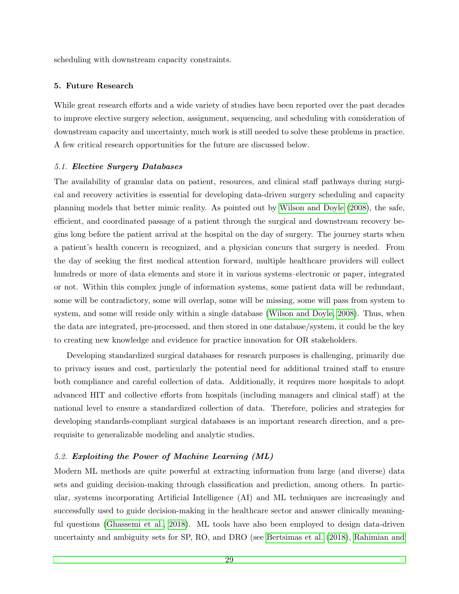scheduling with downstream capacity constraints.

### <span id="page-29-0"></span>5. Future Research

While great research efforts and a wide variety of studies have been reported over the past decades to improve elective surgery selection, assignment, sequencing, and scheduling with consideration of downstream capacity and uncertainty, much work is still needed to solve these problems in practice. A few critical research opportunities for the future are discussed below.

#### <span id="page-29-1"></span>5.1. Elective Surgery Databases

The availability of granular data on patient, resources, and clinical staff pathways during surgical and recovery activities is essential for developing data-driven surgery scheduling and capacity planning models that better mimic reality. As pointed out by [Wilson and Doyle](#page-49-10) [\(2008\)](#page-49-10), the safe, efficient, and coordinated passage of a patient through the surgical and downstream recovery begins long before the patient arrival at the hospital on the day of surgery. The journey starts when a patient's health concern is recognized, and a physician concurs that surgery is needed. From the day of seeking the first medical attention forward, multiple healthcare providers will collect hundreds or more of data elements and store it in various systems–electronic or paper, integrated or not. Within this complex jungle of information systems, some patient data will be redundant, some will be contradictory, some will overlap, some will be missing, some will pass from system to system, and some will reside only within a single database [\(Wilson and Doyle, 2008\)](#page-49-10). Thus, when the data are integrated, pre-processed, and then stored in one database/system, it could be the key to creating new knowledge and evidence for practice innovation for OR stakeholders.

Developing standardized surgical databases for research purposes is challenging, primarily due to privacy issues and cost, particularly the potential need for additional trained staff to ensure both compliance and careful collection of data. Additionally, it requires more hospitals to adopt advanced HIT and collective efforts from hospitals (including managers and clinical staff) at the national level to ensure a standardized collection of data. Therefore, policies and strategies for developing standards-compliant surgical databases is an important research direction, and a prerequisite to generalizable modeling and analytic studies.

#### 5.2. Exploiting the Power of Machine Learning (ML)

Modern ML methods are quite powerful at extracting information from large (and diverse) data sets and guiding decision-making through classification and prediction, among others. In particular, systems incorporating Artificial Intelligence (AI) and ML techniques are increasingly and successfully used to guide decision-making in the healthcare sector and answer clinically meaningful questions [\(Ghassemi et al., 2018\)](#page-42-12). ML tools have also been employed to design data-driven uncertainty and ambiguity sets for SP, RO, and DRO (see [Bertsimas et al.](#page-39-9) [\(2018\)](#page-39-9), [Rahimian and](#page-47-8)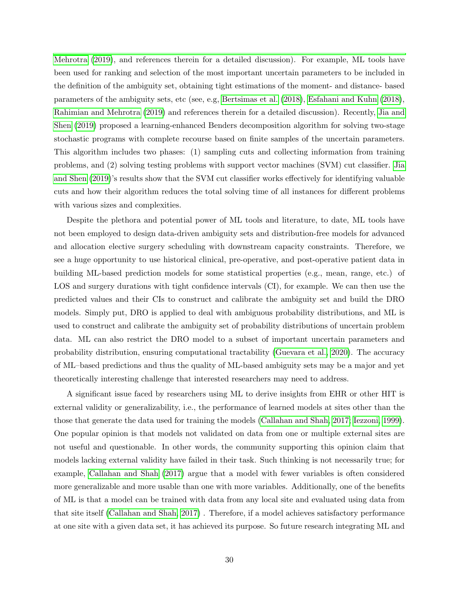[Mehrotra](#page-47-8) [\(2019\)](#page-47-8), and references therein for a detailed discussion). For example, ML tools have been used for ranking and selection of the most important uncertain parameters to be included in the definition of the ambiguity set, obtaining tight estimations of the moment- and distance- based parameters of the ambiguity sets, etc (see, e.g, [Bertsimas et al.](#page-39-9) [\(2018\)](#page-39-9), [Esfahani and Kuhn](#page-41-2) [\(2018\)](#page-41-2), [Rahimian and Mehrotra](#page-47-8) [\(2019\)](#page-47-8) and references therein for a detailed discussion). Recently, [Jia and](#page-43-10) [Shen](#page-43-10) [\(2019\)](#page-43-10) proposed a learning-enhanced Benders decomposition algorithm for solving two-stage stochastic programs with complete recourse based on finite samples of the uncertain parameters. This algorithm includes two phases: (1) sampling cuts and collecting information from training problems, and (2) solving testing problems with support vector machines (SVM) cut classifier. [Jia](#page-43-10) [and Shen](#page-43-10) [\(2019\)](#page-43-10)'s results show that the SVM cut classifier works effectively for identifying valuable cuts and how their algorithm reduces the total solving time of all instances for different problems with various sizes and complexities.

Despite the plethora and potential power of ML tools and literature, to date, ML tools have not been employed to design data-driven ambiguity sets and distribution-free models for advanced and allocation elective surgery scheduling with downstream capacity constraints. Therefore, we see a huge opportunity to use historical clinical, pre-operative, and post-operative patient data in building ML-based prediction models for some statistical properties (e.g., mean, range, etc.) of LOS and surgery durations with tight confidence intervals (CI), for example. We can then use the predicted values and their CIs to construct and calibrate the ambiguity set and build the DRO models. Simply put, DRO is applied to deal with ambiguous probability distributions, and ML is used to construct and calibrate the ambiguity set of probability distributions of uncertain problem data. ML can also restrict the DRO model to a subset of important uncertain parameters and probability distribution, ensuring computational tractability [\(Guevara et al., 2020\)](#page-42-13). The accuracy of ML–based predictions and thus the quality of ML-based ambiguity sets may be a major and yet theoretically interesting challenge that interested researchers may need to address.

A significant issue faced by researchers using ML to derive insights from EHR or other HIT is external validity or generalizability, i.e., the performance of learned models at sites other than the those that generate the data used for training the models [\(Callahan and Shah, 2017;](#page-39-10) [Iezzoni, 1999\)](#page-43-11). One popular opinion is that models not validated on data from one or multiple external sites are not useful and questionable. In other words, the community supporting this opinion claim that models lacking external validity have failed in their task. Such thinking is not necessarily true; for example, [Callahan and Shah](#page-39-10) [\(2017\)](#page-39-10) argue that a model with fewer variables is often considered more generalizable and more usable than one with more variables. Additionally, one of the benefits of ML is that a model can be trained with data from any local site and evaluated using data from that site itself [\(Callahan and Shah, 2017\)](#page-39-10) . Therefore, if a model achieves satisfactory performance at one site with a given data set, it has achieved its purpose. So future research integrating ML and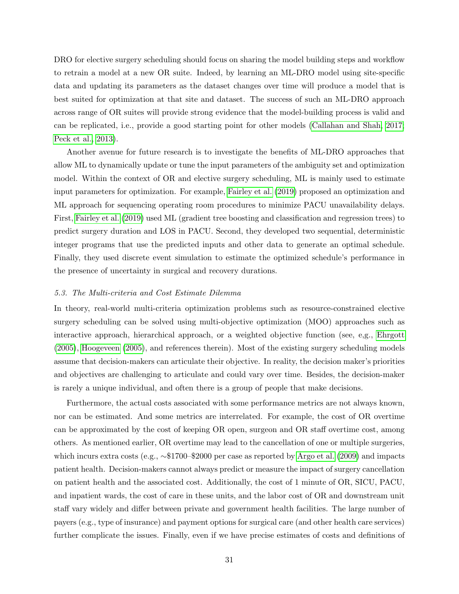DRO for elective surgery scheduling should focus on sharing the model building steps and workflow to retrain a model at a new OR suite. Indeed, by learning an ML-DRO model using site-specific data and updating its parameters as the dataset changes over time will produce a model that is best suited for optimization at that site and dataset. The success of such an ML-DRO approach across range of OR suites will provide strong evidence that the model-building process is valid and can be replicated, i.e., provide a good starting point for other models [\(Callahan and Shah, 2017;](#page-39-10) [Peck et al., 2013\)](#page-46-12).

Another avenue for future research is to investigate the benefits of ML-DRO approaches that allow ML to dynamically update or tune the input parameters of the ambiguity set and optimization model. Within the context of OR and elective surgery scheduling, ML is mainly used to estimate input parameters for optimization. For example, [Fairley et al.](#page-41-6) [\(2019\)](#page-41-6) proposed an optimization and ML approach for sequencing operating room procedures to minimize PACU unavailability delays. First, [Fairley et al.](#page-41-6) [\(2019\)](#page-41-6) used ML (gradient tree boosting and classification and regression trees) to predict surgery duration and LOS in PACU. Second, they developed two sequential, deterministic integer programs that use the predicted inputs and other data to generate an optimal schedule. Finally, they used discrete event simulation to estimate the optimized schedule's performance in the presence of uncertainty in surgical and recovery durations.

#### 5.3. The Multi-criteria and Cost Estimate Dilemma

In theory, real-world multi-criteria optimization problems such as resource-constrained elective surgery scheduling can be solved using multi-objective optimization (MOO) approaches such as interactive approach, hierarchical approach, or a weighted objective function (see, e,g., [Ehrgott](#page-41-9) [\(2005\)](#page-41-9), [Hoogeveen](#page-43-12) [\(2005\)](#page-43-12), and references therein). Most of the existing surgery scheduling models assume that decision-makers can articulate their objective. In reality, the decision maker's priorities and objectives are challenging to articulate and could vary over time. Besides, the decision-maker is rarely a unique individual, and often there is a group of people that make decisions.

Furthermore, the actual costs associated with some performance metrics are not always known, nor can be estimated. And some metrics are interrelated. For example, the cost of OR overtime can be approximated by the cost of keeping OR open, surgeon and OR staff overtime cost, among others. As mentioned earlier, OR overtime may lead to the cancellation of one or multiple surgeries, which incurs extra costs (e.g., ∼\$1700–\$2000 per case as reported by [Argo et al.](#page-38-3) [\(2009\)](#page-38-3) and impacts patient health. Decision-makers cannot always predict or measure the impact of surgery cancellation on patient health and the associated cost. Additionally, the cost of 1 minute of OR, SICU, PACU, and inpatient wards, the cost of care in these units, and the labor cost of OR and downstream unit staff vary widely and differ between private and government health facilities. The large number of payers (e.g., type of insurance) and payment options for surgical care (and other health care services) further complicate the issues. Finally, even if we have precise estimates of costs and definitions of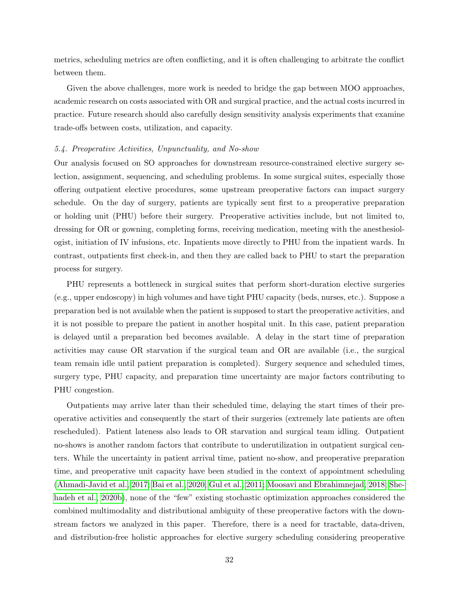metrics, scheduling metrics are often conflicting, and it is often challenging to arbitrate the conflict between them.

Given the above challenges, more work is needed to bridge the gap between MOO approaches, academic research on costs associated with OR and surgical practice, and the actual costs incurred in practice. Future research should also carefully design sensitivity analysis experiments that examine trade-offs between costs, utilization, and capacity.

#### 5.4. Preoperative Activities, Unpunctuality, and No-show

Our analysis focused on SO approaches for downstream resource-constrained elective surgery selection, assignment, sequencing, and scheduling problems. In some surgical suites, especially those offering outpatient elective procedures, some upstream preoperative factors can impact surgery schedule. On the day of surgery, patients are typically sent first to a preoperative preparation or holding unit (PHU) before their surgery. Preoperative activities include, but not limited to, dressing for OR or gowning, completing forms, receiving medication, meeting with the anesthesiologist, initiation of IV infusions, etc. Inpatients move directly to PHU from the inpatient wards. In contrast, outpatients first check-in, and then they are called back to PHU to start the preparation process for surgery.

PHU represents a bottleneck in surgical suites that perform short-duration elective surgeries (e.g., upper endoscopy) in high volumes and have tight PHU capacity (beds, nurses, etc.). Suppose a preparation bed is not available when the patient is supposed to start the preoperative activities, and it is not possible to prepare the patient in another hospital unit. In this case, patient preparation is delayed until a preparation bed becomes available. A delay in the start time of preparation activities may cause OR starvation if the surgical team and OR are available (i.e., the surgical team remain idle until patient preparation is completed). Surgery sequence and scheduled times, surgery type, PHU capacity, and preparation time uncertainty are major factors contributing to PHU congestion.

Outpatients may arrive later than their scheduled time, delaying the start times of their preoperative activities and consequently the start of their surgeries (extremely late patients are often rescheduled). Patient lateness also leads to OR starvation and surgical team idling. Outpatient no-shows is another random factors that contribute to underutilization in outpatient surgical centers. While the uncertainty in patient arrival time, patient no-show, and preoperative preparation time, and preoperative unit capacity have been studied in the context of appointment scheduling [\(Ahmadi-Javid et al., 2017;](#page-38-1) [Bai et al., 2020;](#page-38-10) [Gul et al., 2011;](#page-42-6) [Moosavi and Ebrahimnejad, 2018;](#page-46-13) [She](#page-48-10)[hadeh et al., 2020b\)](#page-48-10), none of the "few" existing stochastic optimization approaches considered the combined multimodality and distributional ambiguity of these preoperative factors with the downstream factors we analyzed in this paper. Therefore, there is a need for tractable, data-driven, and distribution-free holistic approaches for elective surgery scheduling considering preoperative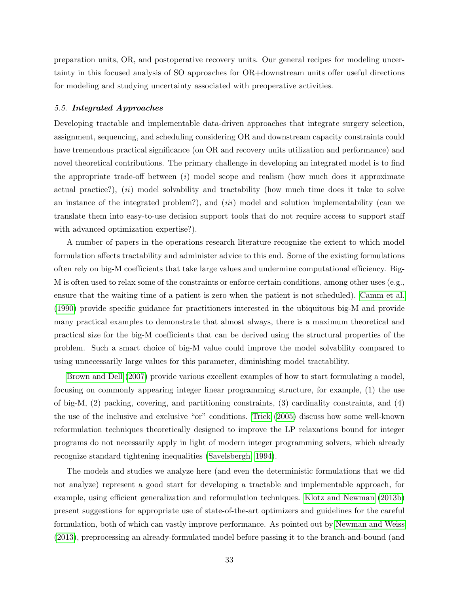preparation units, OR, and postoperative recovery units. Our general recipes for modeling uncertainty in this focused analysis of SO approaches for OR+downstream units offer useful directions for modeling and studying uncertainty associated with preoperative activities.

#### 5.5. Integrated Approaches

Developing tractable and implementable data-driven approaches that integrate surgery selection, assignment, sequencing, and scheduling considering OR and downstream capacity constraints could have tremendous practical significance (on OR and recovery units utilization and performance) and novel theoretical contributions. The primary challenge in developing an integrated model is to find the appropriate trade-off between  $(i)$  model scope and realism (how much does it approximate actual practice?),  $(ii)$  model solvability and tractability (how much time does it take to solve an instance of the integrated problem?), and  $(iii)$  model and solution implementability (can we translate them into easy-to-use decision support tools that do not require access to support staff with advanced optimization expertise?).

A number of papers in the operations research literature recognize the extent to which model formulation affects tractability and administer advice to this end. Some of the existing formulations often rely on big-M coefficients that take large values and undermine computational efficiency. Big-M is often used to relax some of the constraints or enforce certain conditions, among other uses (e.g., ensure that the waiting time of a patient is zero when the patient is not scheduled). [Camm et al.](#page-39-11) [\(1990\)](#page-39-11) provide specific guidance for practitioners interested in the ubiquitous big-M and provide many practical examples to demonstrate that almost always, there is a maximum theoretical and practical size for the big-M coefficients that can be derived using the structural properties of the problem. Such a smart choice of big-M value could improve the model solvability compared to using unnecessarily large values for this parameter, diminishing model tractability.

[Brown and Dell](#page-39-8) [\(2007\)](#page-39-8) provide various excellent examples of how to start formulating a model, focusing on commonly appearing integer linear programming structure, for example, (1) the use of big-M, (2) packing, covering, and partitioning constraints, (3) cardinality constraints, and (4) the use of the inclusive and exclusive "or" conditions. [Trick](#page-48-11) [\(2005\)](#page-48-11) discuss how some well-known reformulation techniques theoretically designed to improve the LP relaxations bound for integer programs do not necessarily apply in light of modern integer programming solvers, which already recognize standard tightening inequalities [\(Savelsbergh, 1994\)](#page-47-12).

The models and studies we analyze here (and even the deterministic formulations that we did not analyze) represent a good start for developing a tractable and implementable approach, for example, using efficient generalization and reformulation techniques. [Klotz and Newman](#page-44-9) [\(2013b\)](#page-44-9) present suggestions for appropriate use of state-of-the-art optimizers and guidelines for the careful formulation, both of which can vastly improve performance. As pointed out by [Newman and Weiss](#page-46-11) [\(2013\)](#page-46-11), preprocessing an already-formulated model before passing it to the branch-and-bound (and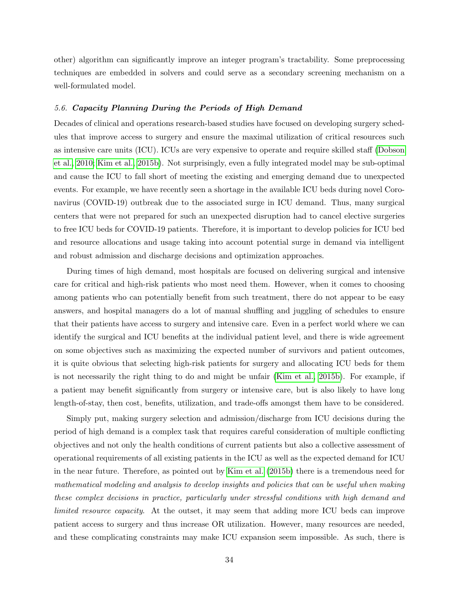other) algorithm can significantly improve an integer program's tractability. Some preprocessing techniques are embedded in solvers and could serve as a secondary screening mechanism on a well-formulated model.

#### 5.6. Capacity Planning During the Periods of High Demand

Decades of clinical and operations research-based studies have focused on developing surgery schedules that improve access to surgery and ensure the maximal utilization of critical resources such as intensive care units (ICU). ICUs are very expensive to operate and require skilled staff [\(Dobson](#page-41-10) [et al., 2010;](#page-41-10) [Kim et al., 2015b\)](#page-44-0). Not surprisingly, even a fully integrated model may be sub-optimal and cause the ICU to fall short of meeting the existing and emerging demand due to unexpected events. For example, we have recently seen a shortage in the available ICU beds during novel Coronavirus (COVID-19) outbreak due to the associated surge in ICU demand. Thus, many surgical centers that were not prepared for such an unexpected disruption had to cancel elective surgeries to free ICU beds for COVID-19 patients. Therefore, it is important to develop policies for ICU bed and resource allocations and usage taking into account potential surge in demand via intelligent and robust admission and discharge decisions and optimization approaches.

During times of high demand, most hospitals are focused on delivering surgical and intensive care for critical and high-risk patients who most need them. However, when it comes to choosing among patients who can potentially benefit from such treatment, there do not appear to be easy answers, and hospital managers do a lot of manual shuffling and juggling of schedules to ensure that their patients have access to surgery and intensive care. Even in a perfect world where we can identify the surgical and ICU benefits at the individual patient level, and there is wide agreement on some objectives such as maximizing the expected number of survivors and patient outcomes, it is quite obvious that selecting high-risk patients for surgery and allocating ICU beds for them is not necessarily the right thing to do and might be unfair [\(Kim et al., 2015b\)](#page-44-0). For example, if a patient may benefit significantly from surgery or intensive care, but is also likely to have long length-of-stay, then cost, benefits, utilization, and trade-offs amongst them have to be considered.

Simply put, making surgery selection and admission/discharge from ICU decisions during the period of high demand is a complex task that requires careful consideration of multiple conflicting objectives and not only the health conditions of current patients but also a collective assessment of operational requirements of all existing patients in the ICU as well as the expected demand for ICU in the near future. Therefore, as pointed out by [Kim et al.](#page-44-0) [\(2015b\)](#page-44-0) there is a tremendous need for mathematical modeling and analysis to develop insights and policies that can be useful when making these complex decisions in practice, particularly under stressful conditions with high demand and limited resource capacity. At the outset, it may seem that adding more ICU beds can improve patient access to surgery and thus increase OR utilization. However, many resources are needed, and these complicating constraints may make ICU expansion seem impossible. As such, there is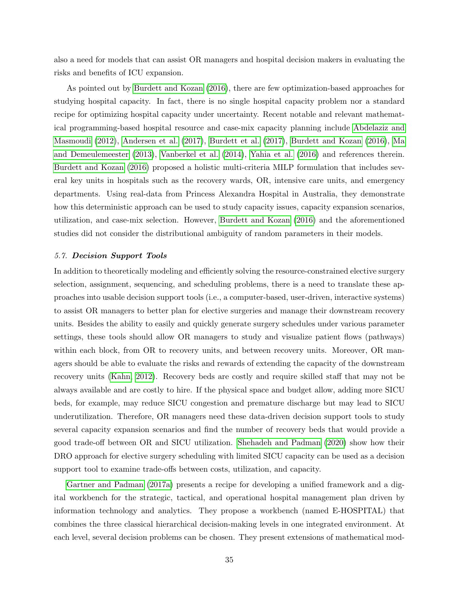also a need for models that can assist OR managers and hospital decision makers in evaluating the risks and benefits of ICU expansion.

As pointed out by [Burdett and Kozan](#page-39-12) [\(2016\)](#page-39-12), there are few optimization-based approaches for studying hospital capacity. In fact, there is no single hospital capacity problem nor a standard recipe for optimizing hospital capacity under uncertainty. Recent notable and relevant mathematical programming-based hospital resource and case-mix capacity planning include [Abdelaziz and](#page-38-11) [Masmoudi](#page-38-11) [\(2012\)](#page-38-11), [Andersen et al.](#page-38-12) [\(2017\)](#page-38-12), [Burdett et al.](#page-39-13) [\(2017\)](#page-39-13), [Burdett and Kozan](#page-39-12) [\(2016\)](#page-39-12), [Ma](#page-45-13) [and Demeulemeester](#page-45-13) [\(2013\)](#page-45-13), [Vanberkel et al.](#page-49-11) [\(2014\)](#page-49-11), [Yahia et al.](#page-49-12) [\(2016\)](#page-49-12) and references therein. [Burdett and Kozan](#page-39-12) [\(2016\)](#page-39-12) proposed a holistic multi-criteria MILP formulation that includes several key units in hospitals such as the recovery wards, OR, intensive care units, and emergency departments. Using real-data from Princess Alexandra Hospital in Australia, they demonstrate how this deterministic approach can be used to study capacity issues, capacity expansion scenarios, utilization, and case-mix selection. However, [Burdett and Kozan](#page-39-12) [\(2016\)](#page-39-12) and the aforementioned studies did not consider the distributional ambiguity of random parameters in their models.

#### 5.7. Decision Support Tools

In addition to theoretically modeling and efficiently solving the resource-constrained elective surgery selection, assignment, sequencing, and scheduling problems, there is a need to translate these approaches into usable decision support tools (i.e., a computer-based, user-driven, interactive systems) to assist OR managers to better plan for elective surgeries and manage their downstream recovery units. Besides the ability to easily and quickly generate surgery schedules under various parameter settings, these tools should allow OR managers to study and visualize patient flows (pathways) within each block, from OR to recovery units, and between recovery units. Moreover, OR managers should be able to evaluate the risks and rewards of extending the capacity of the downstream recovery units [\(Kahn, 2012\)](#page-43-13). Recovery beds are costly and require skilled staff that may not be always available and are costly to hire. If the physical space and budget allow, adding more SICU beds, for example, may reduce SICU congestion and premature discharge but may lead to SICU underutilization. Therefore, OR managers need these data-driven decision support tools to study several capacity expansion scenarios and find the number of recovery beds that would provide a good trade-off between OR and SICU utilization. [Shehadeh and Padman](#page-48-0) [\(2020\)](#page-48-0) show how their DRO approach for elective surgery scheduling with limited SICU capacity can be used as a decision support tool to examine trade-offs between costs, utilization, and capacity.

[Gartner and Padman](#page-41-11) [\(2017a\)](#page-41-11) presents a recipe for developing a unified framework and a digital workbench for the strategic, tactical, and operational hospital management plan driven by information technology and analytics. They propose a workbench (named E-HOSPITAL) that combines the three classical hierarchical decision-making levels in one integrated environment. At each level, several decision problems can be chosen. They present extensions of mathematical mod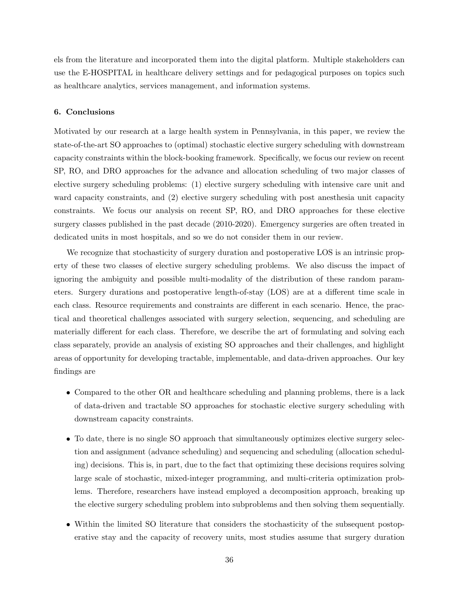els from the literature and incorporated them into the digital platform. Multiple stakeholders can use the E-HOSPITAL in healthcare delivery settings and for pedagogical purposes on topics such as healthcare analytics, services management, and information systems.

#### <span id="page-36-0"></span>6. Conclusions

Motivated by our research at a large health system in Pennsylvania, in this paper, we review the state-of-the-art SO approaches to (optimal) stochastic elective surgery scheduling with downstream capacity constraints within the block-booking framework. Specifically, we focus our review on recent SP, RO, and DRO approaches for the advance and allocation scheduling of two major classes of elective surgery scheduling problems: (1) elective surgery scheduling with intensive care unit and ward capacity constraints, and  $(2)$  elective surgery scheduling with post anesthesia unit capacity constraints. We focus our analysis on recent SP, RO, and DRO approaches for these elective surgery classes published in the past decade (2010-2020). Emergency surgeries are often treated in dedicated units in most hospitals, and so we do not consider them in our review.

We recognize that stochasticity of surgery duration and postoperative LOS is an intrinsic property of these two classes of elective surgery scheduling problems. We also discuss the impact of ignoring the ambiguity and possible multi-modality of the distribution of these random parameters. Surgery durations and postoperative length-of-stay (LOS) are at a different time scale in each class. Resource requirements and constraints are different in each scenario. Hence, the practical and theoretical challenges associated with surgery selection, sequencing, and scheduling are materially different for each class. Therefore, we describe the art of formulating and solving each class separately, provide an analysis of existing SO approaches and their challenges, and highlight areas of opportunity for developing tractable, implementable, and data-driven approaches. Our key findings are

- Compared to the other OR and healthcare scheduling and planning problems, there is a lack of data-driven and tractable SO approaches for stochastic elective surgery scheduling with downstream capacity constraints.
- To date, there is no single SO approach that simultaneously optimizes elective surgery selection and assignment (advance scheduling) and sequencing and scheduling (allocation scheduling) decisions. This is, in part, due to the fact that optimizing these decisions requires solving large scale of stochastic, mixed-integer programming, and multi-criteria optimization problems. Therefore, researchers have instead employed a decomposition approach, breaking up the elective surgery scheduling problem into subproblems and then solving them sequentially.
- Within the limited SO literature that considers the stochasticity of the subsequent postoperative stay and the capacity of recovery units, most studies assume that surgery duration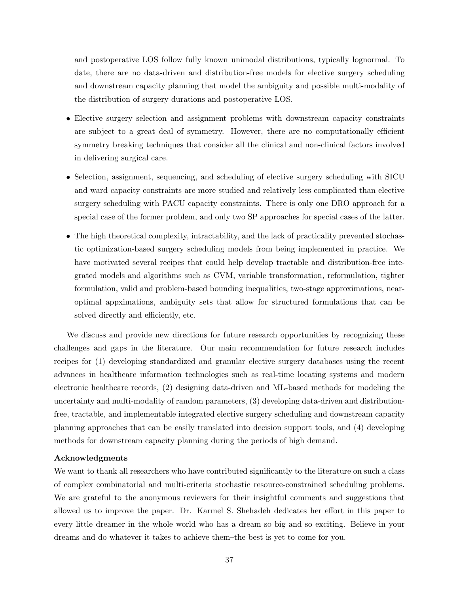and postoperative LOS follow fully known unimodal distributions, typically lognormal. To date, there are no data-driven and distribution-free models for elective surgery scheduling and downstream capacity planning that model the ambiguity and possible multi-modality of the distribution of surgery durations and postoperative LOS.

- Elective surgery selection and assignment problems with downstream capacity constraints are subject to a great deal of symmetry. However, there are no computationally efficient symmetry breaking techniques that consider all the clinical and non-clinical factors involved in delivering surgical care.
- Selection, assignment, sequencing, and scheduling of elective surgery scheduling with SICU and ward capacity constraints are more studied and relatively less complicated than elective surgery scheduling with PACU capacity constraints. There is only one DRO approach for a special case of the former problem, and only two SP approaches for special cases of the latter.
- The high theoretical complexity, intractability, and the lack of practicality prevented stochastic optimization-based surgery scheduling models from being implemented in practice. We have motivated several recipes that could help develop tractable and distribution-free integrated models and algorithms such as CVM, variable transformation, reformulation, tighter formulation, valid and problem-based bounding inequalities, two-stage approximations, nearoptimal appximations, ambiguity sets that allow for structured formulations that can be solved directly and efficiently, etc.

We discuss and provide new directions for future research opportunities by recognizing these challenges and gaps in the literature. Our main recommendation for future research includes recipes for (1) developing standardized and granular elective surgery databases using the recent advances in healthcare information technologies such as real-time locating systems and modern electronic healthcare records, (2) designing data-driven and ML-based methods for modeling the uncertainty and multi-modality of random parameters, (3) developing data-driven and distributionfree, tractable, and implementable integrated elective surgery scheduling and downstream capacity planning approaches that can be easily translated into decision support tools, and (4) developing methods for downstream capacity planning during the periods of high demand.

## Acknowledgments

We want to thank all researchers who have contributed significantly to the literature on such a class of complex combinatorial and multi-criteria stochastic resource-constrained scheduling problems. We are grateful to the anonymous reviewers for their insightful comments and suggestions that allowed us to improve the paper. Dr. Karmel S. Shehadeh dedicates her effort in this paper to every little dreamer in the whole world who has a dream so big and so exciting. Believe in your dreams and do whatever it takes to achieve them–the best is yet to come for you.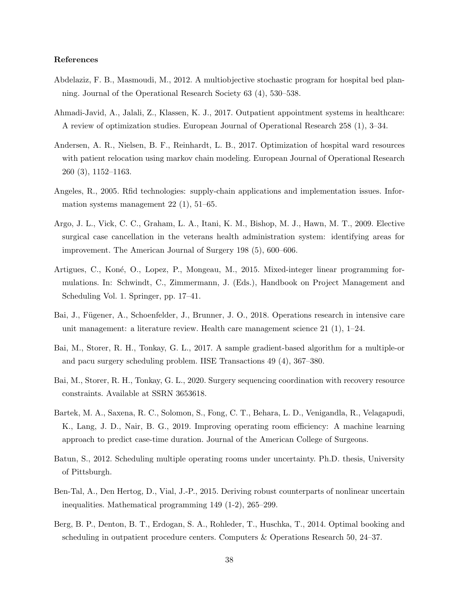#### <span id="page-38-15"></span><span id="page-38-14"></span><span id="page-38-13"></span>References

- <span id="page-38-11"></span>Abdelaziz, F. B., Masmoudi, M., 2012. A multiobjective stochastic program for hospital bed planning. Journal of the Operational Research Society 63 (4), 530–538.
- <span id="page-38-1"></span>Ahmadi-Javid, A., Jalali, Z., Klassen, K. J., 2017. Outpatient appointment systems in healthcare: A review of optimization studies. European Journal of Operational Research 258 (1), 3–34.
- <span id="page-38-12"></span>Andersen, A. R., Nielsen, B. F., Reinhardt, L. B., 2017. Optimization of hospital ward resources with patient relocation using markov chain modeling. European Journal of Operational Research 260 (3), 1152–1163.
- <span id="page-38-7"></span>Angeles, R., 2005. Rfid technologies: supply-chain applications and implementation issues. Information systems management 22 (1), 51–65.
- <span id="page-38-3"></span>Argo, J. L., Vick, C. C., Graham, L. A., Itani, K. M., Bishop, M. J., Hawn, M. T., 2009. Elective surgical case cancellation in the veterans health administration system: identifying areas for improvement. The American Journal of Surgery 198 (5), 600–606.
- <span id="page-38-9"></span>Artigues, C., Koné, O., Lopez, P., Mongeau, M., 2015. Mixed-integer linear programming formulations. In: Schwindt, C., Zimmermann, J. (Eds.), Handbook on Project Management and Scheduling Vol. 1. Springer, pp. 17–41.
- <span id="page-38-6"></span>Bai, J., Fügener, A., Schoenfelder, J., Brunner, J. O., 2018. Operations research in intensive care unit management: a literature review. Health care management science 21 (1), 1–24.
- <span id="page-38-0"></span>Bai, M., Storer, R. H., Tonkay, G. L., 2017. A sample gradient-based algorithm for a multiple-or and pacu surgery scheduling problem. IISE Transactions 49 (4), 367–380.
- <span id="page-38-10"></span>Bai, M., Storer, R. H., Tonkay, G. L., 2020. Surgery sequencing coordination with recovery resource constraints. Available at SSRN 3653618.
- <span id="page-38-2"></span>Bartek, M. A., Saxena, R. C., Solomon, S., Fong, C. T., Behara, L. D., Venigandla, R., Velagapudi, K., Lang, J. D., Nair, B. G., 2019. Improving operating room efficiency: A machine learning approach to predict case-time duration. Journal of the American College of Surgeons.
- <span id="page-38-4"></span>Batun, S., 2012. Scheduling multiple operating rooms under uncertainty. Ph.D. thesis, University of Pittsburgh.
- <span id="page-38-8"></span>Ben-Tal, A., Den Hertog, D., Vial, J.-P., 2015. Deriving robust counterparts of nonlinear uncertain inequalities. Mathematical programming 149 (1-2), 265–299.
- <span id="page-38-5"></span>Berg, B. P., Denton, B. T., Erdogan, S. A., Rohleder, T., Huschka, T., 2014. Optimal booking and scheduling in outpatient procedure centers. Computers & Operations Research 50, 24–37.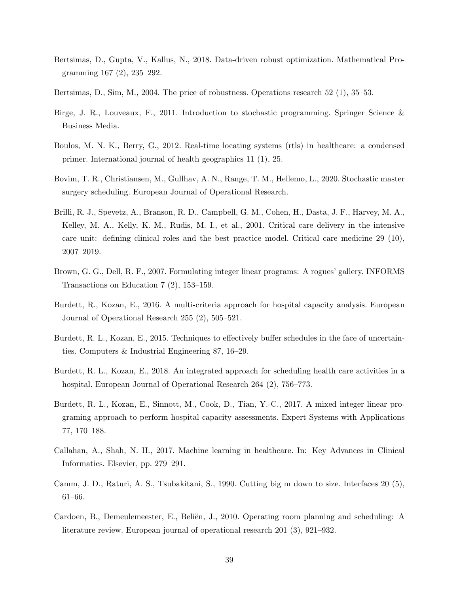- <span id="page-39-9"></span>Bertsimas, D., Gupta, V., Kallus, N., 2018. Data-driven robust optimization. Mathematical Programming 167 (2), 235–292.
- <span id="page-39-7"></span>Bertsimas, D., Sim, M., 2004. The price of robustness. Operations research 52 (1), 35–53.
- <span id="page-39-6"></span>Birge, J. R., Louveaux, F., 2011. Introduction to stochastic programming. Springer Science & Business Media.
- <span id="page-39-4"></span>Boulos, M. N. K., Berry, G., 2012. Real-time locating systems (rtls) in healthcare: a condensed primer. International journal of health geographics 11 (1), 25.
- <span id="page-39-0"></span>Bovim, T. R., Christiansen, M., Gullhav, A. N., Range, T. M., Hellemo, L., 2020. Stochastic master surgery scheduling. European Journal of Operational Research.
- <span id="page-39-1"></span>Brilli, R. J., Spevetz, A., Branson, R. D., Campbell, G. M., Cohen, H., Dasta, J. F., Harvey, M. A., Kelley, M. A., Kelly, K. M., Rudis, M. I., et al., 2001. Critical care delivery in the intensive care unit: defining clinical roles and the best practice model. Critical care medicine 29 (10), 2007–2019.
- <span id="page-39-8"></span>Brown, G. G., Dell, R. F., 2007. Formulating integer linear programs: A rogues' gallery. INFORMS Transactions on Education 7 (2), 153–159.
- <span id="page-39-12"></span>Burdett, R., Kozan, E., 2016. A multi-criteria approach for hospital capacity analysis. European Journal of Operational Research 255 (2), 505–521.
- <span id="page-39-3"></span>Burdett, R. L., Kozan, E., 2015. Techniques to effectively buffer schedules in the face of uncertainties. Computers & Industrial Engineering 87, 16–29.
- <span id="page-39-5"></span>Burdett, R. L., Kozan, E., 2018. An integrated approach for scheduling health care activities in a hospital. European Journal of Operational Research 264 (2), 756–773.
- <span id="page-39-13"></span>Burdett, R. L., Kozan, E., Sinnott, M., Cook, D., Tian, Y.-C., 2017. A mixed integer linear programing approach to perform hospital capacity assessments. Expert Systems with Applications 77, 170–188.
- <span id="page-39-10"></span>Callahan, A., Shah, N. H., 2017. Machine learning in healthcare. In: Key Advances in Clinical Informatics. Elsevier, pp. 279–291.
- <span id="page-39-11"></span>Camm, J. D., Raturi, A. S., Tsubakitani, S., 1990. Cutting big m down to size. Interfaces 20 (5), 61–66.
- <span id="page-39-2"></span>Cardoen, B., Demeulemeester, E., Beliën, J., 2010. Operating room planning and scheduling: A literature review. European journal of operational research 201 (3), 921–932.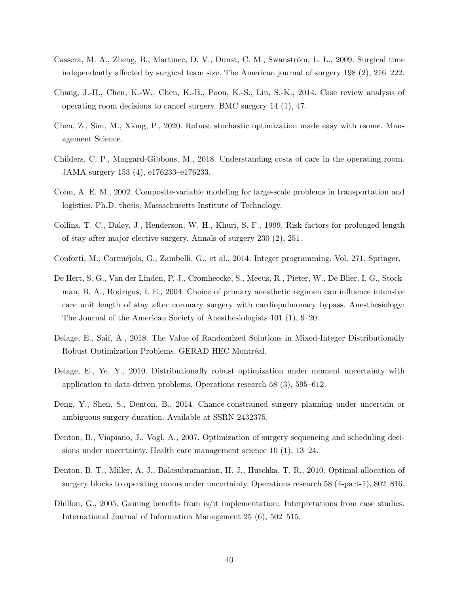- <span id="page-40-14"></span><span id="page-40-4"></span>Cassera, M. A., Zheng, B., Martinec, D. V., Dunst, C. M., Swanström, L. L., 2009. Surgical time independently affected by surgical team size. The American journal of surgery 198 (2), 216–222.
- <span id="page-40-0"></span>Chang, J.-H., Chen, K.-W., Chen, K.-B., Poon, K.-S., Liu, S.-K., 2014. Case review analysis of operating room decisions to cancel surgery. BMC surgery 14 (1), 47.
- <span id="page-40-7"></span>Chen, Z., Sim, M., Xiong, P., 2020. Robust stochastic optimization made easy with rsome. Management Science.
- <span id="page-40-11"></span>Childers, C. P., Maggard-Gibbons, M., 2018. Understanding costs of care in the operating room. JAMA surgery 153 (4), e176233–e176233.
- <span id="page-40-13"></span>Cohn, A. E. M., 2002. Composite-variable modeling for large-scale problems in transportation and logistics. Ph.D. thesis, Massachusetts Institute of Technology.
- <span id="page-40-5"></span>Collins, T. C., Daley, J., Henderson, W. H., Khuri, S. F., 1999. Risk factors for prolonged length of stay after major elective surgery. Annals of surgery 230 (2), 251.
- <span id="page-40-12"></span>Conforti, M., Cornuéjols, G., Zambelli, G., et al., 2014. Integer programming. Vol. 271. Springer.
- <span id="page-40-6"></span>De Hert, S. G., Van der Linden, P. J., Cromheecke, S., Meeus, R., Pieter, W., De Blier, I. G., Stockman, B. A., Rodrigus, I. E., 2004. Choice of primary anesthetic regimen can influence intensive care unit length of stay after coronary surgery with cardiopulmonary bypass. Anesthesiology: The Journal of the American Society of Anesthesiologists 101 (1), 9–20.
- <span id="page-40-9"></span>Delage, E., Saif, A., 2018. The Value of Randomized Solutions in Mixed-Integer Distributionally Robust Optimization Problems. GERAD HEC Montréal.
- <span id="page-40-10"></span>Delage, E., Ye, Y., 2010. Distributionally robust optimization under moment uncertainty with application to data-driven problems. Operations research 58 (3), 595–612.
- <span id="page-40-3"></span>Deng, Y., Shen, S., Denton, B., 2014. Chance-constrained surgery planning under uncertain or ambiguous surgery duration. Available at SSRN 2432375.
- <span id="page-40-1"></span>Denton, B., Viapiano, J., Vogl, A., 2007. Optimization of surgery sequencing and scheduling decisions under uncertainty. Health care management science 10 (1), 13–24.
- <span id="page-40-2"></span>Denton, B. T., Miller, A. J., Balasubramanian, H. J., Huschka, T. R., 2010. Optimal allocation of surgery blocks to operating rooms under uncertainty. Operations research 58 (4-part-1), 802–816.
- <span id="page-40-8"></span>Dhillon, G., 2005. Gaining benefits from is/it implementation: Interpretations from case studies. International Journal of Information Management 25 (6), 502–515.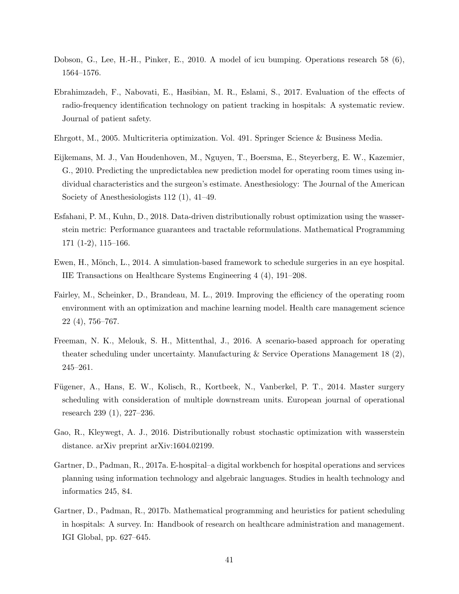- <span id="page-41-12"></span><span id="page-41-10"></span>Dobson, G., Lee, H.-H., Pinker, E., 2010. A model of icu bumping. Operations research 58 (6), 1564–1576.
- <span id="page-41-7"></span>Ebrahimzadeh, F., Nabovati, E., Hasibian, M. R., Eslami, S., 2017. Evaluation of the effects of radio-frequency identification technology on patient tracking in hospitals: A systematic review. Journal of patient safety.
- <span id="page-41-9"></span>Ehrgott, M., 2005. Multicriteria optimization. Vol. 491. Springer Science & Business Media.
- <span id="page-41-4"></span>Eijkemans, M. J., Van Houdenhoven, M., Nguyen, T., Boersma, E., Steyerberg, E. W., Kazemier, G., 2010. Predicting the unpredictablea new prediction model for operating room times using individual characteristics and the surgeon's estimate. Anesthesiology: The Journal of the American Society of Anesthesiologists 112 (1), 41–49.
- <span id="page-41-2"></span>Esfahani, P. M., Kuhn, D., 2018. Data-driven distributionally robust optimization using the wasserstein metric: Performance guarantees and tractable reformulations. Mathematical Programming 171 (1-2), 115–166.
- <span id="page-41-3"></span>Ewen, H., Mönch, L., 2014. A simulation-based framework to schedule surgeries in an eye hospital. IIE Transactions on Healthcare Systems Engineering 4 (4), 191–208.
- <span id="page-41-6"></span>Fairley, M., Scheinker, D., Brandeau, M. L., 2019. Improving the efficiency of the operating room environment with an optimization and machine learning model. Health care management science 22 (4), 756–767.
- <span id="page-41-0"></span>Freeman, N. K., Melouk, S. H., Mittenthal, J., 2016. A scenario-based approach for operating theater scheduling under uncertainty. Manufacturing & Service Operations Management 18 (2), 245–261.
- <span id="page-41-5"></span>Fügener, A., Hans, E. W., Kolisch, R., Kortbeek, N., Vanberkel, P. T., 2014. Master surgery scheduling with consideration of multiple downstream units. European journal of operational research 239 (1), 227–236.
- <span id="page-41-8"></span>Gao, R., Kleywegt, A. J., 2016. Distributionally robust stochastic optimization with wasserstein distance. arXiv preprint arXiv:1604.02199.
- <span id="page-41-11"></span>Gartner, D., Padman, R., 2017a. E-hospital–a digital workbench for hospital operations and services planning using information technology and algebraic languages. Studies in health technology and informatics 245, 84.
- <span id="page-41-1"></span>Gartner, D., Padman, R., 2017b. Mathematical programming and heuristics for patient scheduling in hospitals: A survey. In: Handbook of research on healthcare administration and management. IGI Global, pp. 627–645.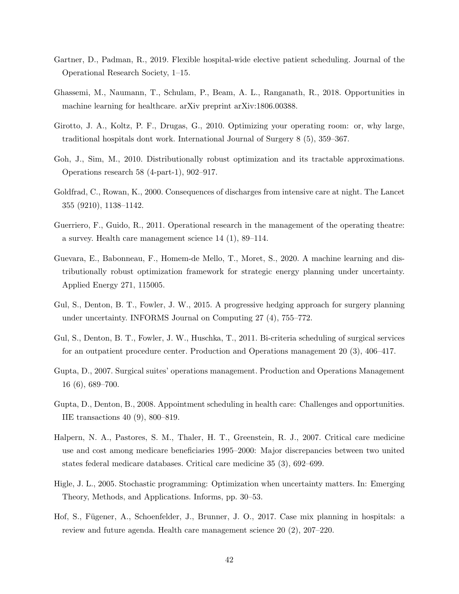- <span id="page-42-14"></span><span id="page-42-2"></span>Gartner, D., Padman, R., 2019. Flexible hospital-wide elective patient scheduling. Journal of the Operational Research Society, 1–15.
- <span id="page-42-12"></span>Ghassemi, M., Naumann, T., Schulam, P., Beam, A. L., Ranganath, R., 2018. Opportunities in machine learning for healthcare. arXiv preprint arXiv:1806.00388.
- <span id="page-42-9"></span>Girotto, J. A., Koltz, P. F., Drugas, G., 2010. Optimizing your operating room: or, why large, traditional hospitals dont work. International Journal of Surgery 8 (5), 359–367.
- <span id="page-42-10"></span>Goh, J., Sim, M., 2010. Distributionally robust optimization and its tractable approximations. Operations research 58 (4-part-1), 902–917.
- <span id="page-42-5"></span>Goldfrad, C., Rowan, K., 2000. Consequences of discharges from intensive care at night. The Lancet 355 (9210), 1138–1142.
- <span id="page-42-4"></span>Guerriero, F., Guido, R., 2011. Operational research in the management of the operating theatre: a survey. Health care management science 14 (1), 89–114.
- <span id="page-42-13"></span>Guevara, E., Babonneau, F., Homem-de Mello, T., Moret, S., 2020. A machine learning and distributionally robust optimization framework for strategic energy planning under uncertainty. Applied Energy 271, 115005.
- <span id="page-42-7"></span>Gul, S., Denton, B. T., Fowler, J. W., 2015. A progressive hedging approach for surgery planning under uncertainty. INFORMS Journal on Computing 27 (4), 755–772.
- <span id="page-42-6"></span>Gul, S., Denton, B. T., Fowler, J. W., Huschka, T., 2011. Bi-criteria scheduling of surgical services for an outpatient procedure center. Production and Operations management 20 (3), 406–417.
- <span id="page-42-11"></span>Gupta, D., 2007. Surgical suites' operations management. Production and Operations Management 16 (6), 689–700.
- <span id="page-42-3"></span>Gupta, D., Denton, B., 2008. Appointment scheduling in health care: Challenges and opportunities. IIE transactions 40 (9), 800–819.
- <span id="page-42-0"></span>Halpern, N. A., Pastores, S. M., Thaler, H. T., Greenstein, R. J., 2007. Critical care medicine use and cost among medicare beneficiaries 1995–2000: Major discrepancies between two united states federal medicare databases. Critical care medicine 35 (3), 692–699.
- <span id="page-42-8"></span>Higle, J. L., 2005. Stochastic programming: Optimization when uncertainty matters. In: Emerging Theory, Methods, and Applications. Informs, pp. 30–53.
- <span id="page-42-1"></span>Hof, S., Fügener, A., Schoenfelder, J., Brunner, J. O., 2017. Case mix planning in hospitals: a review and future agenda. Health care management science 20 (2), 207–220.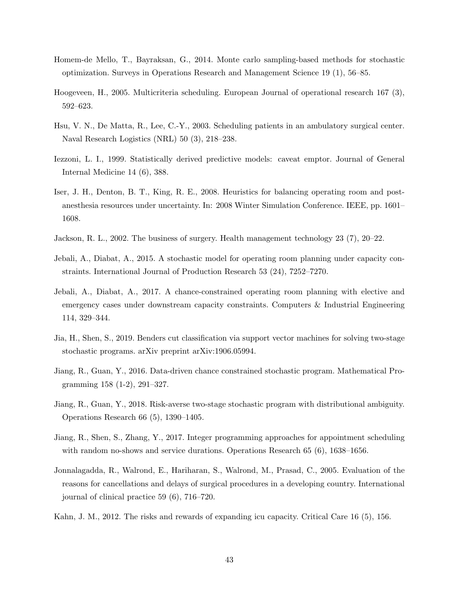- <span id="page-43-17"></span><span id="page-43-16"></span><span id="page-43-15"></span><span id="page-43-14"></span><span id="page-43-5"></span>Homem-de Mello, T., Bayraksan, G., 2014. Monte carlo sampling-based methods for stochastic optimization. Surveys in Operations Research and Management Science 19 (1), 56–85.
- <span id="page-43-12"></span>Hoogeveen, H., 2005. Multicriteria scheduling. European Journal of operational research 167 (3), 592–623.
- <span id="page-43-1"></span>Hsu, V. N., De Matta, R., Lee, C.-Y., 2003. Scheduling patients in an ambulatory surgical center. Naval Research Logistics (NRL) 50 (3), 218–238.
- <span id="page-43-11"></span>Iezzoni, L. I., 1999. Statistically derived predictive models: caveat emptor. Journal of General Internal Medicine 14 (6), 388.
- <span id="page-43-4"></span>Iser, J. H., Denton, B. T., King, R. E., 2008. Heuristics for balancing operating room and postanesthesia resources under uncertainty. In: 2008 Winter Simulation Conference. IEEE, pp. 1601– 1608.
- <span id="page-43-0"></span>Jackson, R. L., 2002. The business of surgery. Health management technology 23 (7), 20–22.
- <span id="page-43-2"></span>Jebali, A., Diabat, A., 2015. A stochastic model for operating room planning under capacity constraints. International Journal of Production Research 53 (24), 7252–7270.
- <span id="page-43-8"></span>Jebali, A., Diabat, A., 2017. A chance-constrained operating room planning with elective and emergency cases under downstream capacity constraints. Computers & Industrial Engineering 114, 329–344.
- <span id="page-43-10"></span>Jia, H., Shen, S., 2019. Benders cut classification via support vector machines for solving two-stage stochastic programs. arXiv preprint arXiv:1906.05994.
- <span id="page-43-6"></span>Jiang, R., Guan, Y., 2016. Data-driven chance constrained stochastic program. Mathematical Programming 158 (1-2), 291–327.
- <span id="page-43-7"></span>Jiang, R., Guan, Y., 2018. Risk-averse two-stage stochastic program with distributional ambiguity. Operations Research 66 (5), 1390–1405.
- <span id="page-43-9"></span>Jiang, R., Shen, S., Zhang, Y., 2017. Integer programming approaches for appointment scheduling with random no-shows and service durations. Operations Research 65 (6), 1638–1656.
- <span id="page-43-3"></span>Jonnalagadda, R., Walrond, E., Hariharan, S., Walrond, M., Prasad, C., 2005. Evaluation of the reasons for cancellations and delays of surgical procedures in a developing country. International journal of clinical practice 59 (6), 716–720.
- <span id="page-43-13"></span>Kahn, J. M., 2012. The risks and rewards of expanding icu capacity. Critical Care 16 (5), 156.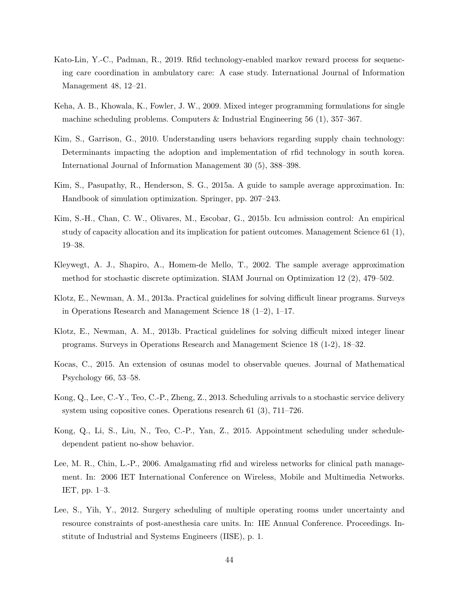- <span id="page-44-13"></span><span id="page-44-4"></span>Kato-Lin, Y.-C., Padman, R., 2019. Rfid technology-enabled markov reward process for sequencing care coordination in ambulatory care: A case study. International Journal of Information Management 48, 12–21.
- <span id="page-44-8"></span>Keha, A. B., Khowala, K., Fowler, J. W., 2009. Mixed integer programming formulations for single machine scheduling problems. Computers & Industrial Engineering 56 (1), 357–367.
- <span id="page-44-3"></span>Kim, S., Garrison, G., 2010. Understanding users behaviors regarding supply chain technology: Determinants impacting the adoption and implementation of rfid technology in south korea. International Journal of Information Management 30 (5), 388–398.
- <span id="page-44-7"></span>Kim, S., Pasupathy, R., Henderson, S. G., 2015a. A guide to sample average approximation. In: Handbook of simulation optimization. Springer, pp. 207–243.
- <span id="page-44-0"></span>Kim, S.-H., Chan, C. W., Olivares, M., Escobar, G., 2015b. Icu admission control: An empirical study of capacity allocation and its implication for patient outcomes. Management Science 61 (1), 19–38.
- <span id="page-44-6"></span>Kleywegt, A. J., Shapiro, A., Homem-de Mello, T., 2002. The sample average approximation method for stochastic discrete optimization. SIAM Journal on Optimization 12 (2), 479–502.
- <span id="page-44-10"></span>Klotz, E., Newman, A. M., 2013a. Practical guidelines for solving difficult linear programs. Surveys in Operations Research and Management Science 18 (1–2), 1–17.
- <span id="page-44-9"></span>Klotz, E., Newman, A. M., 2013b. Practical guidelines for solving difficult mixed integer linear programs. Surveys in Operations Research and Management Science 18 (1-2), 18–32.
- <span id="page-44-2"></span>Kocas, C., 2015. An extension of osunas model to observable queues. Journal of Mathematical Psychology 66, 53–58.
- <span id="page-44-11"></span>Kong, Q., Lee, C.-Y., Teo, C.-P., Zheng, Z., 2013. Scheduling arrivals to a stochastic service delivery system using copositive cones. Operations research 61 (3), 711–726.
- <span id="page-44-12"></span>Kong, Q., Li, S., Liu, N., Teo, C.-P., Yan, Z., 2015. Appointment scheduling under scheduledependent patient no-show behavior.
- <span id="page-44-5"></span>Lee, M. R., Chin, L.-P., 2006. Amalgamating rfid and wireless networks for clinical path management. In: 2006 IET International Conference on Wireless, Mobile and Multimedia Networks. IET, pp. 1–3.
- <span id="page-44-1"></span>Lee, S., Yih, Y., 2012. Surgery scheduling of multiple operating rooms under uncertainty and resource constraints of post-anesthesia care units. In: IIE Annual Conference. Proceedings. Institute of Industrial and Systems Engineers (IISE), p. 1.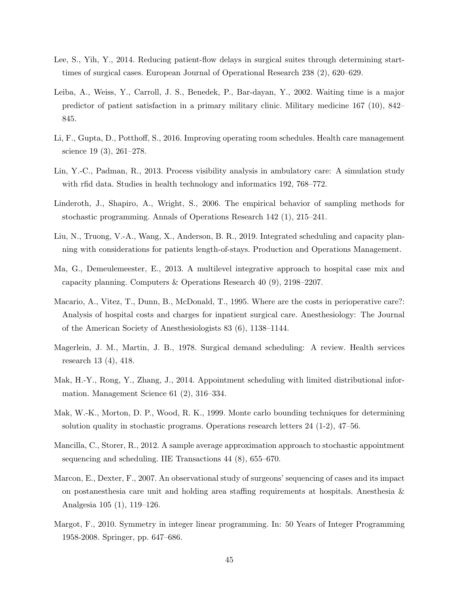- <span id="page-45-17"></span><span id="page-45-16"></span><span id="page-45-15"></span><span id="page-45-14"></span><span id="page-45-4"></span>Lee, S., Yih, Y., 2014. Reducing patient-flow delays in surgical suites through determining starttimes of surgical cases. European Journal of Operational Research 238 (2), 620–629.
- <span id="page-45-5"></span>Leiba, A., Weiss, Y., Carroll, J. S., Benedek, P., Bar-dayan, Y., 2002. Waiting time is a major predictor of patient satisfaction in a primary military clinic. Military medicine 167 (10), 842– 845.
- <span id="page-45-0"></span>Li, F., Gupta, D., Potthoff, S., 2016. Improving operating room schedules. Health care management science 19 (3), 261–278.
- <span id="page-45-6"></span>Lin, Y.-C., Padman, R., 2013. Process visibility analysis in ambulatory care: A simulation study with rfid data. Studies in health technology and informatics 192, 768–772.
- <span id="page-45-8"></span>Linderoth, J., Shapiro, A., Wright, S., 2006. The empirical behavior of sampling methods for stochastic programming. Annals of Operations Research 142 (1), 215–241.
- <span id="page-45-2"></span>Liu, N., Truong, V.-A., Wang, X., Anderson, B. R., 2019. Integrated scheduling and capacity planning with considerations for patients length-of-stays. Production and Operations Management.
- <span id="page-45-13"></span>Ma, G., Demeulemeester, E., 2013. A multilevel integrative approach to hospital case mix and capacity planning. Computers & Operations Research 40 (9), 2198–2207.
- <span id="page-45-1"></span>Macario, A., Vitez, T., Dunn, B., McDonald, T., 1995. Where are the costs in perioperative care?: Analysis of hospital costs and charges for inpatient surgical care. Anesthesiology: The Journal of the American Society of Anesthesiologists 83 (6), 1138–1144.
- <span id="page-45-3"></span>Magerlein, J. M., Martin, J. B., 1978. Surgical demand scheduling: A review. Health services research 13 (4), 418.
- <span id="page-45-10"></span>Mak, H.-Y., Rong, Y., Zhang, J., 2014. Appointment scheduling with limited distributional information. Management Science 61 (2), 316–334.
- <span id="page-45-7"></span>Mak, W.-K., Morton, D. P., Wood, R. K., 1999. Monte carlo bounding techniques for determining solution quality in stochastic programs. Operations research letters 24 (1-2), 47–56.
- <span id="page-45-11"></span>Mancilla, C., Storer, R., 2012. A sample average approximation approach to stochastic appointment sequencing and scheduling. IIE Transactions 44 (8), 655–670.
- <span id="page-45-12"></span>Marcon, E., Dexter, F., 2007. An observational study of surgeons' sequencing of cases and its impact on postanesthesia care unit and holding area staffing requirements at hospitals. Anesthesia & Analgesia 105 (1), 119–126.
- <span id="page-45-9"></span>Margot, F., 2010. Symmetry in integer linear programming. In: 50 Years of Integer Programming 1958-2008. Springer, pp. 647–686.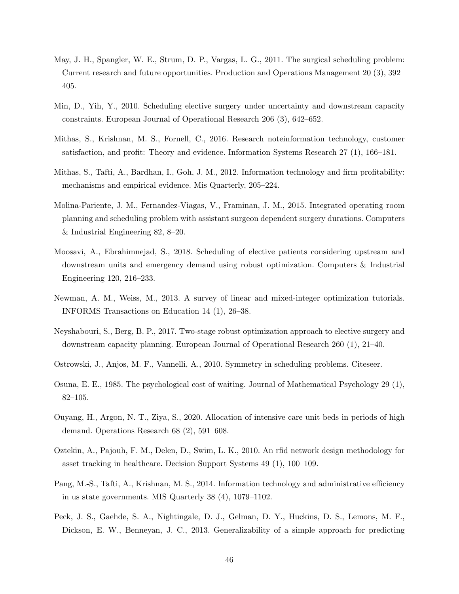- <span id="page-46-16"></span><span id="page-46-15"></span><span id="page-46-14"></span><span id="page-46-1"></span>May, J. H., Spangler, W. E., Strum, D. P., Vargas, L. G., 2011. The surgical scheduling problem: Current research and future opportunities. Production and Operations Management 20 (3), 392– 405.
- <span id="page-46-2"></span>Min, D., Yih, Y., 2010. Scheduling elective surgery under uncertainty and downstream capacity constraints. European Journal of Operational Research 206 (3), 642–652.
- <span id="page-46-7"></span>Mithas, S., Krishnan, M. S., Fornell, C., 2016. Research noteinformation technology, customer satisfaction, and profit: Theory and evidence. Information Systems Research 27 (1), 166–181.
- <span id="page-46-6"></span>Mithas, S., Tafti, A., Bardhan, I., Goh, J. M., 2012. Information technology and firm profitability: mechanisms and empirical evidence. Mis Quarterly, 205–224.
- <span id="page-46-4"></span>Molina-Pariente, J. M., Fernandez-Viagas, V., Framinan, J. M., 2015. Integrated operating room planning and scheduling problem with assistant surgeon dependent surgery durations. Computers & Industrial Engineering 82, 8–20.
- <span id="page-46-13"></span>Moosavi, A., Ebrahimnejad, S., 2018. Scheduling of elective patients considering upstream and downstream units and emergency demand using robust optimization. Computers & Industrial Engineering 120, 216–233.
- <span id="page-46-11"></span>Newman, A. M., Weiss, M., 2013. A survey of linear and mixed-integer optimization tutorials. INFORMS Transactions on Education 14 (1), 26–38.
- <span id="page-46-3"></span>Neyshabouri, S., Berg, B. P., 2017. Two-stage robust optimization approach to elective surgery and downstream capacity planning. European Journal of Operational Research 260 (1), 21–40.
- <span id="page-46-10"></span>Ostrowski, J., Anjos, M. F., Vannelli, A., 2010. Symmetry in scheduling problems. Citeseer.
- <span id="page-46-5"></span>Osuna, E. E., 1985. The psychological cost of waiting. Journal of Mathematical Psychology 29 (1), 82–105.
- <span id="page-46-0"></span>Ouyang, H., Argon, N. T., Ziya, S., 2020. Allocation of intensive care unit beds in periods of high demand. Operations Research 68 (2), 591–608.
- <span id="page-46-9"></span>Oztekin, A., Pajouh, F. M., Delen, D., Swim, L. K., 2010. An rfid network design methodology for asset tracking in healthcare. Decision Support Systems 49 (1), 100–109.
- <span id="page-46-8"></span>Pang, M.-S., Tafti, A., Krishnan, M. S., 2014. Information technology and administrative efficiency in us state governments. MIS Quarterly 38 (4), 1079–1102.
- <span id="page-46-12"></span>Peck, J. S., Gaehde, S. A., Nightingale, D. J., Gelman, D. Y., Huckins, D. S., Lemons, M. F., Dickson, E. W., Benneyan, J. C., 2013. Generalizability of a simple approach for predicting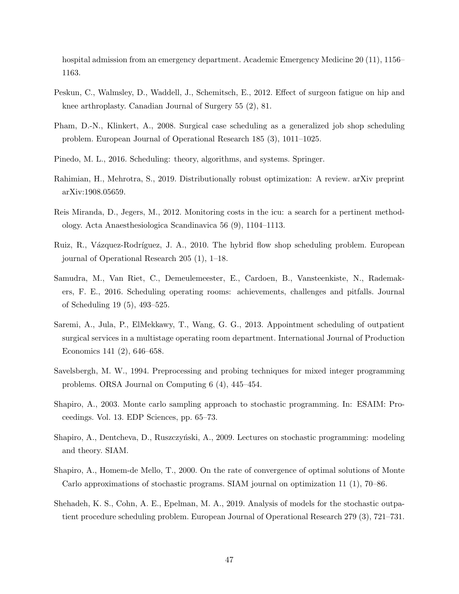<span id="page-47-15"></span><span id="page-47-14"></span><span id="page-47-13"></span>hospital admission from an emergency department. Academic Emergency Medicine 20 (11), 1156– 1163.

- <span id="page-47-7"></span>Peskun, C., Walmsley, D., Waddell, J., Schemitsch, E., 2012. Effect of surgeon fatigue on hip and knee arthroplasty. Canadian Journal of Surgery 55 (2), 81.
- <span id="page-47-3"></span>Pham, D.-N., Klinkert, A., 2008. Surgical case scheduling as a generalized job shop scheduling problem. European Journal of Operational Research 185 (3), 1011–1025.
- <span id="page-47-4"></span>Pinedo, M. L., 2016. Scheduling: theory, algorithms, and systems. Springer.
- <span id="page-47-8"></span>Rahimian, H., Mehrotra, S., 2019. Distributionally robust optimization: A review. arXiv preprint arXiv:1908.05659.
- <span id="page-47-1"></span>Reis Miranda, D., Jegers, M., 2012. Monitoring costs in the icu: a search for a pertinent methodology. Acta Anaesthesiologica Scandinavica 56 (9), 1104–1113.
- <span id="page-47-5"></span>Ruiz, R., Vázquez-Rodríguez, J. A., 2010. The hybrid flow shop scheduling problem. European journal of Operational Research 205 (1), 1–18.
- <span id="page-47-0"></span>Samudra, M., Van Riet, C., Demeulemeester, E., Cardoen, B., Vansteenkiste, N., Rademakers, F. E., 2016. Scheduling operating rooms: achievements, challenges and pitfalls. Journal of Scheduling 19 (5), 493–525.
- <span id="page-47-6"></span>Saremi, A., Jula, P., ElMekkawy, T., Wang, G. G., 2013. Appointment scheduling of outpatient surgical services in a multistage operating room department. International Journal of Production Economics 141 (2), 646–658.
- <span id="page-47-12"></span>Savelsbergh, M. W., 1994. Preprocessing and probing techniques for mixed integer programming problems. ORSA Journal on Computing 6 (4), 445–454.
- <span id="page-47-9"></span>Shapiro, A., 2003. Monte carlo sampling approach to stochastic programming. In: ESAIM: Proceedings. Vol. 13. EDP Sciences, pp. 65–73.
- <span id="page-47-10"></span>Shapiro, A., Dentcheva, D., Ruszczyński, A., 2009. Lectures on stochastic programming: modeling and theory. SIAM.
- <span id="page-47-11"></span>Shapiro, A., Homem-de Mello, T., 2000. On the rate of convergence of optimal solutions of Monte Carlo approximations of stochastic programs. SIAM journal on optimization 11 (1), 70–86.
- <span id="page-47-2"></span>Shehadeh, K. S., Cohn, A. E., Epelman, M. A., 2019. Analysis of models for the stochastic outpatient procedure scheduling problem. European Journal of Operational Research 279 (3), 721–731.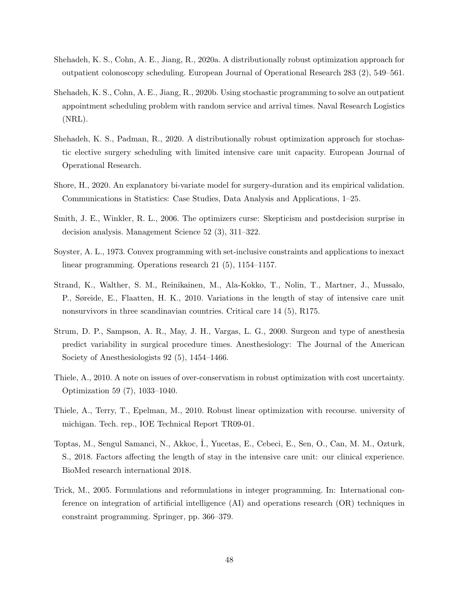- <span id="page-48-13"></span><span id="page-48-12"></span><span id="page-48-1"></span>Shehadeh, K. S., Cohn, A. E., Jiang, R., 2020a. A distributionally robust optimization approach for outpatient colonoscopy scheduling. European Journal of Operational Research 283 (2), 549–561.
- <span id="page-48-10"></span>Shehadeh, K. S., Cohn, A. E., Jiang, R., 2020b. Using stochastic programming to solve an outpatient appointment scheduling problem with random service and arrival times. Naval Research Logistics (NRL).
- <span id="page-48-0"></span>Shehadeh, K. S., Padman, R., 2020. A distributionally robust optimization approach for stochastic elective surgery scheduling with limited intensive care unit capacity. European Journal of Operational Research.
- <span id="page-48-3"></span>Shore, H., 2020. An explanatory bi-variate model for surgery-duration and its empirical validation. Communications in Statistics: Case Studies, Data Analysis and Applications, 1–25.
- <span id="page-48-2"></span>Smith, J. E., Winkler, R. L., 2006. The optimizers curse: Skepticism and postdecision surprise in decision analysis. Management Science 52 (3), 311–322.
- <span id="page-48-7"></span>Soyster, A. L., 1973. Convex programming with set-inclusive constraints and applications to inexact linear programming. Operations research 21 (5), 1154–1157.
- <span id="page-48-5"></span>Strand, K., Walther, S. M., Reinikainen, M., Ala-Kokko, T., Nolin, T., Martner, J., Mussalo, P., Søreide, E., Flaatten, H. K., 2010. Variations in the length of stay of intensive care unit nonsurvivors in three scandinavian countries. Critical care 14 (5), R175.
- <span id="page-48-4"></span>Strum, D. P., Sampson, A. R., May, J. H., Vargas, L. G., 2000. Surgeon and type of anesthesia predict variability in surgical procedure times. Anesthesiology: The Journal of the American Society of Anesthesiologists 92 (5), 1454–1466.
- <span id="page-48-8"></span>Thiele, A., 2010. A note on issues of over-conservatism in robust optimization with cost uncertainty. Optimization 59 (7), 1033–1040.
- <span id="page-48-9"></span>Thiele, A., Terry, T., Epelman, M., 2010. Robust linear optimization with recourse. university of michigan. Tech. rep., IOE Technical Report TR09-01.
- <span id="page-48-6"></span>Toptas, M., Sengul Samanci, N., Akkoc, ˙I., Yucetas, E., Cebeci, E., Sen, O., Can, M. M., Ozturk, S., 2018. Factors affecting the length of stay in the intensive care unit: our clinical experience. BioMed research international 2018.
- <span id="page-48-11"></span>Trick, M., 2005. Formulations and reformulations in integer programming. In: International conference on integration of artificial intelligence (AI) and operations research (OR) techniques in constraint programming. Springer, pp. 366–379.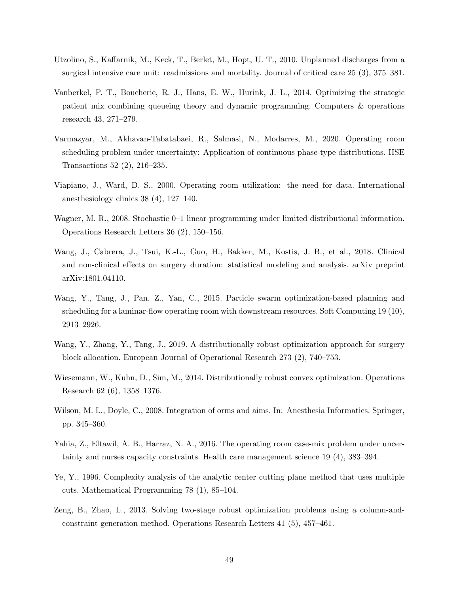- <span id="page-49-5"></span>Utzolino, S., Kaffarnik, M., Keck, T., Berlet, M., Hopt, U. T., 2010. Unplanned discharges from a surgical intensive care unit: readmissions and mortality. Journal of critical care 25 (3), 375–381.
- <span id="page-49-11"></span>Vanberkel, P. T., Boucherie, R. J., Hans, E. W., Hurink, J. L., 2014. Optimizing the strategic patient mix combining queueing theory and dynamic programming. Computers & operations research 43, 271–279.
- <span id="page-49-2"></span>Varmazyar, M., Akhavan-Tabatabaei, R., Salmasi, N., Modarres, M., 2020. Operating room scheduling problem under uncertainty: Application of continuous phase-type distributions. IISE Transactions 52 (2), 216–235.
- <span id="page-49-0"></span>Viapiano, J., Ward, D. S., 2000. Operating room utilization: the need for data. International anesthesiology clinics 38 (4), 127–140.
- <span id="page-49-6"></span>Wagner, M. R., 2008. Stochastic 0–1 linear programming under limited distributional information. Operations Research Letters 36 (2), 150–156.
- <span id="page-49-4"></span>Wang, J., Cabrera, J., Tsui, K.-L., Guo, H., Bakker, M., Kostis, J. B., et al., 2018. Clinical and non-clinical effects on surgery duration: statistical modeling and analysis. arXiv preprint arXiv:1801.04110.
- <span id="page-49-3"></span>Wang, Y., Tang, J., Pan, Z., Yan, C., 2015. Particle swarm optimization-based planning and scheduling for a laminar-flow operating room with downstream resources. Soft Computing 19 (10), 2913–2926.
- <span id="page-49-1"></span>Wang, Y., Zhang, Y., Tang, J., 2019. A distributionally robust optimization approach for surgery block allocation. European Journal of Operational Research 273 (2), 740–753.
- <span id="page-49-7"></span>Wiesemann, W., Kuhn, D., Sim, M., 2014. Distributionally robust convex optimization. Operations Research 62 (6), 1358–1376.
- <span id="page-49-10"></span>Wilson, M. L., Doyle, C., 2008. Integration of orms and aims. In: Anesthesia Informatics. Springer, pp. 345–360.
- <span id="page-49-12"></span>Yahia, Z., Eltawil, A. B., Harraz, N. A., 2016. The operating room case-mix problem under uncertainty and nurses capacity constraints. Health care management science 19 (4), 383–394.
- <span id="page-49-8"></span>Ye, Y., 1996. Complexity analysis of the analytic center cutting plane method that uses multiple cuts. Mathematical Programming 78 (1), 85–104.
- <span id="page-49-9"></span>Zeng, B., Zhao, L., 2013. Solving two-stage robust optimization problems using a column-andconstraint generation method. Operations Research Letters 41 (5), 457–461.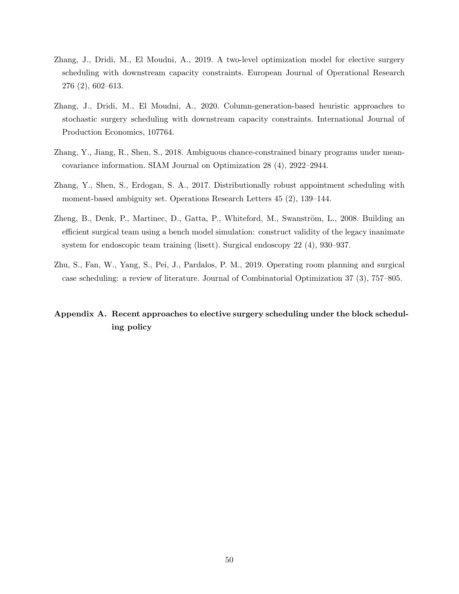- <span id="page-50-8"></span><span id="page-50-7"></span><span id="page-50-1"></span>Zhang, J., Dridi, M., El Moudni, A., 2019. A two-level optimization model for elective surgery scheduling with downstream capacity constraints. European Journal of Operational Research 276 (2), 602–613.
- <span id="page-50-3"></span>Zhang, J., Dridi, M., El Moudni, A., 2020. Column-generation-based heuristic approaches to stochastic surgery scheduling with downstream capacity constraints. International Journal of Production Economics, 107764.
- <span id="page-50-5"></span>Zhang, Y., Jiang, R., Shen, S., 2018. Ambiguous chance-constrained binary programs under meancovariance information. SIAM Journal on Optimization 28 (4), 2922–2944.
- <span id="page-50-6"></span>Zhang, Y., Shen, S., Erdogan, S. A., 2017. Distributionally robust appointment scheduling with moment-based ambiguity set. Operations Research Letters 45 (2), 139–144.
- <span id="page-50-4"></span>Zheng, B., Denk, P., Martinec, D., Gatta, P., Whiteford, M., Swanström, L., 2008. Building an efficient surgical team using a bench model simulation: construct validity of the legacy inanimate system for endoscopic team training (lisett). Surgical endoscopy 22 (4), 930–937.
- <span id="page-50-0"></span>Zhu, S., Fan, W., Yang, S., Pei, J., Pardalos, P. M., 2019. Operating room planning and surgical case scheduling: a review of literature. Journal of Combinatorial Optimization 37 (3), 757–805.

## <span id="page-50-2"></span>Appendix A. Recent approaches to elective surgery scheduling under the block scheduling policy